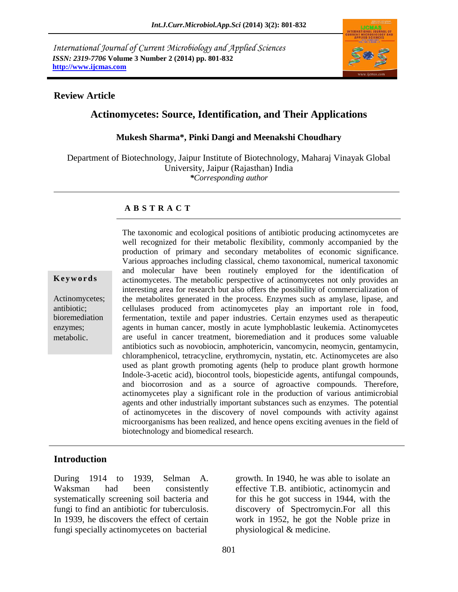*International Journal of Current Microbiology and Applied Sciences ISSN: 2319-7706* **Volume 3 Number 2 (2014) pp. 801-832 http://www.ijcmas.com**



#### **Review Article**

### **Actinomycetes: Source, Identification, and Their Applications**

#### **Mukesh Sharma\*, Pinki Dangi and Meenakshi Choudhary**

Department of Biotechnology, Jaipur Institute of Biotechnology, Maharaj Vinayak Global University, Jaipur (Rajasthan) India *\*Corresponding author*

#### **A B S T R A C T**

**K e y w o r d s**

Actinomycetes; antibiotic; bioremediation enzymes; metabolic.

The taxonomic and ecological positions of antibiotic producing actinomycetes are well recognized for their metabolic flexibility, commonly accompanied by the production of primary and secondary metabolites of economic significance. Various approaches including classical, chemo taxonomical, numerical taxonomic and molecular have been routinely employed for the identification of actinomycetes. The metabolic perspective of actinomycetes not only provides an interesting area for research but also offers the possibility of commercialization of the metabolites generated in the process. Enzymes such as amylase, lipase, and cellulases produced from actinomycetes play an important role in food, fermentation, textile and paper industries. Certain enzymes used as therapeutic agents in human cancer, mostly in acute lymphoblastic leukemia. Actinomycetes are useful in cancer treatment, bioremediation and it produces some valuable antibiotics such as novobiocin, amphotericin, vancomycin, neomycin, gentamycin, chloramphenicol, tetracycline, erythromycin, nystatin, etc. Actinomycetes are also used as plant growth promoting agents (help to produce plant growth hormone Indole-3-acetic acid), biocontrol tools, biopesticide agents, antifungal compounds, and biocorrosion and as a source of agroactive compounds. Therefore, actinomycetes play a significant role in the production of various antimicrobial agents and other industrially important substances such as enzymes. The potential of actinomycetes in the discovery of novel compounds with activity against microorganisms has been realized, and hence opens exciting avenues in the field of biotechnology and biomedical research.

#### **Introduction**

During 1914 to 1939, Selman A. Waksman had been consistently systematically screening soil bacteria and fungi to find an antibiotic for tuberculosis. In 1939, he discovers the effect of certain fungi specially actinomycetes on bacterial

growth. In 1940, he was able to isolate an effective T.B. antibiotic, actinomycin and for this he got success in 1944, with the discovery of Spectromycin.For all this work in 1952, he got the Noble prize in physiological & medicine.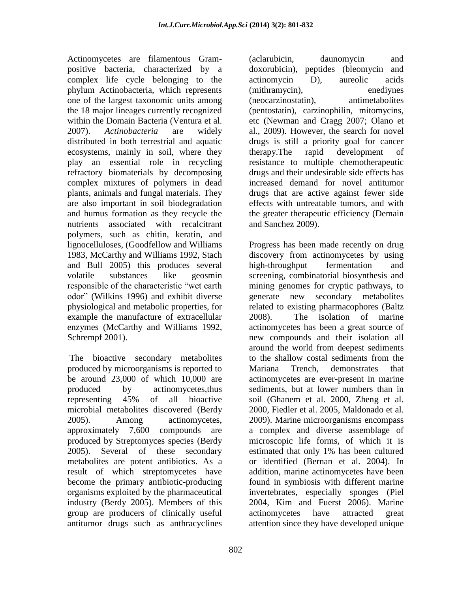Actinomycetes are filamentous Grampositive bacteria, characterized by a complex life cycle belonging to the phylum Actinobacteria, which represents one of the largest taxonomic units among the 18 major lineages currently recognized within the Domain Bacteria (Ventura et al. 2007). *Actinobacteria* are widely distributed in both terrestrial and aquatic ecosystems, mainly in soil, where they play an essential role in recycling refractory biomaterials by decomposing complex mixtures of polymers in dead plants, animals and fungal materials. They are also important in soil biodegradation and humus formation as they recycle the nutrients associated with recalcitrant polymers, such as chitin, keratin, and lignocelluloses, (Goodfellow and Williams 1983, McCarthy and Williams 1992, Stach and Bull 2005) this produces several volatile substances like geosmin responsible of the characteristic "wet earth odor" (Wilkins 1996) and exhibit diverse physiological and metabolic properties, for example the manufacture of extracellular enzymes (McCarthy and Williams 1992, Schrempf 2001).

The bioactive secondary metabolites produced by microorganisms is reported to be around 23,000 of which 10,000 are produced by actinomycetes,thus representing 45% of all bioactive microbial metabolites discovered (Berdy 2005). Among actinomycetes, approximately 7,600 compounds are produced by Streptomyces species (Berdy 2005). Several of these secondary metabolites are potent antibiotics. As a result of which streptomycetes have become the primary antibiotic-producing organisms exploited by the pharmaceutical industry (Berdy 2005). Members of this group are producers of clinically useful antitumor drugs such as anthracyclines

802

(aclarubicin, daunomycin and doxorubicin), peptides (bleomycin and actinomycin D), aureolic acids (mithramycin), enediynes (neocarzinostatin), antimetabolites (pentostatin), carzinophilin, mitomycins, etc (Newman and Cragg 2007; Olano et al., 2009). However, the search for novel drugs is still a priority goal for cancer therapy.The rapid development of resistance to multiple chemotherapeutic drugs and their undesirable side effects has increased demand for novel antitumor drugs that are active against fewer side effects with untreatable tumors, and with the greater therapeutic efficiency (Demain and Sanchez 2009).

Progress has been made recently on drug discovery from actinomycetes by using high-throughput fermentation and screening, combinatorial biosynthesis and mining genomes for cryptic pathways, to generate new secondary metabolites related to existing pharmacophores (Baltz 2008). The isolation of marine actinomycetes has been a great source of new compounds and their isolation all around the world from deepest sediments to the shallow costal sediments from the Mariana Trench, demonstrates that actinomycetes are ever-present in marine sediments, but at lower numbers than in soil (Ghanem et al. 2000, Zheng et al. 2000, Fiedler et al. 2005, Maldonado et al. 2009). Marine microorganisms encompass a complex and diverse assemblage of microscopic life forms, of which it is estimated that only 1% has been cultured or identified (Bernan et al. 2004). In addition, marine actinomycetes have been found in symbiosis with different marine invertebrates, especially sponges (Piel 2004, Kim and Fuerst 2006). Marine actinomycetes have attracted great attention since they have developed unique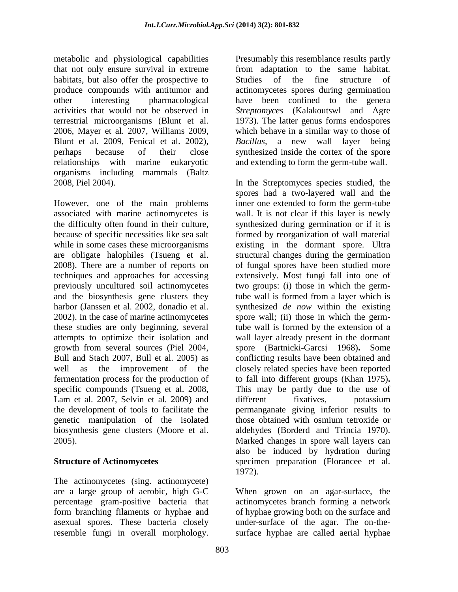metabolic and physiological capabilities that not only ensure survival in extreme habitats, but also offer the prospective to produce compounds with antitumor and other interesting pharmacological activities that would not be observed in terrestrial microorganisms (Blunt et al. 2006, Mayer et al. 2007, Williams 2009, Blunt et al. 2009, Fenical et al. 2002), perhaps because of their close relationships with marine eukaryotic organisms including mammals (Baltz 2008, Piel 2004).

However, one of the main problems associated with marine actinomycetes is the difficulty often found in their culture, because of specific necessities like sea salt while in some cases these microorganisms are obligate halophiles (Tsueng et al. 2008). There are a number of reports on techniques and approaches for accessing previously uncultured soil actinomycetes and the biosynthesis gene clusters they harbor (Janssen et al. 2002, donadio et al. 2002). In the case of marine actinomycetes these studies are only beginning, several attempts to optimize their isolation and growth from several sources (Piel 2004, Bull and Stach 2007, Bull et al. 2005) as well as the improvement of the fermentation process for the production of specific compounds (Tsueng et al. 2008, Lam et al. 2007, Selvin et al. 2009) and the development of tools to facilitate the genetic manipulation of the isolated biosynthesis gene clusters (Moore et al. 2005).

# **Structure of Actinomycetes**

The actinomycetes (sing. actinomycete) are a large group of aerobic, high G-C percentage gram-positive bacteria that form branching filaments or hyphae and asexual spores. These bacteria closely resemble fungi in overall morphology.

Presumably this resemblance results partly from adaptation to the same habitat. Studies of the fine structure of actinomycetes spores during germination have been confined to the genera *Streptomyces* (Kalakoutswl and Agre 1973). The latter genus forms endospores which behave in a similar way to those of *Bacillus,* a new wall layer being synthesized inside the cortex of the spore and extending to form the germ-tube wall.

In the Streptomyces species studied, the spores had a two-layered wall and the inner one extended to form the germ-tube wall. It is not clear if this layer is newly synthesized during germination or if it is formed by reorganization of wall material existing in the dormant spore. Ultra structural changes during the germination of fungal spores have been studied more extensively. Most fungi fall into one of two groups: (i) those in which the germtube wall is formed from a layer which is synthesized *de now* within the existing spore wall; (ii) those in which the germtube wall is formed by the extension of a wall layer already present in the dormant spore (Bartnicki-Garcsi 1968)**.** Some conflicting results have been obtained and closely related species have been reported to fall into different groups (Khan 1975)**.**  This may be partly due to the use of different fixatives, potassium permanganate giving inferior results to those obtained with osmium tetroxide or aldehydes (Borderd and Trincia 1970). Marked changes in spore wall layers can also be induced by hydration during specimen preparation (Florancee et al. 1972).

When grown on an agar-surface, the actinomycetes branch forming a network of hyphae growing both on the surface and under-surface of the agar. The on-thesurface hyphae are called aerial hyphae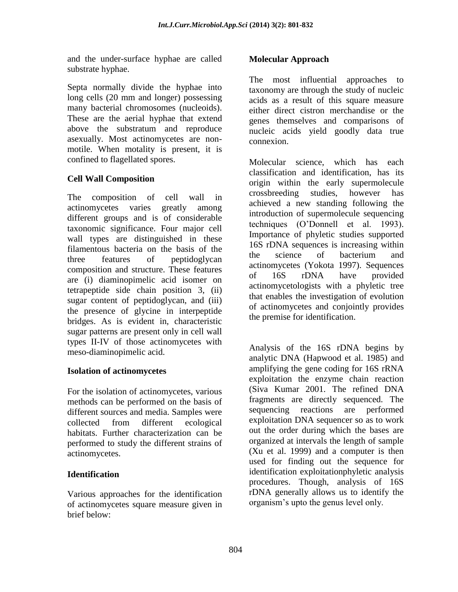and the under-surface hyphae are called substrate hyphae.

Septa normally divide the hyphae into long cells (20 mm and longer) possessing many bacterial chromosomes (nucleoids). These are the aerial hyphae that extend above the substratum and reproduce asexually. Most actinomycetes are nonmotile. When motality is present, it is confined to flagellated spores.

# **Cell Wall Composition**

The composition of cell wall in actinomycetes varies greatly among different groups and is of considerable taxonomic significance. Four major cell wall types are distinguished in these filamentous bacteria on the basis of the three features of peptidoglycan composition and structure. These features are (i) diaminopimelic acid isomer on tetrapeptide side chain position 3, (ii) sugar content of peptidoglycan, and (iii) the presence of glycine in interpeptide bridges. As is evident in, characteristic sugar patterns are present only in cell wall types II-IV of those actinomycetes with meso-diaminopimelic acid.

# **Isolation of actinomycetes**

For the isolation of actinomycetes, various methods can be performed on the basis of different sources and media. Samples were collected from different ecological habitats. Further characterization can be performed to study the different strains of actinomycetes.

# **Identification**

Various approaches for the identification of actinomycetes square measure given in brief below:

### **Molecular Approach**

The most influential approaches to taxonomy are through the study of nucleic acids as a result of this square measure either direct cistron merchandise or the genes themselves and comparisons of nucleic acids yield goodly data true connexion.

Molecular science, which has each classification and identification, has its origin within the early supermolecule crossbreeding studies, however has achieved a new standing following the introduction of supermolecule sequencing techniques (O"Donnell et al. 1993). Importance of phyletic studies supported 16S rDNA sequences is increasing within the science of bacterium and actinomycetes (Yokota 1997). Sequences of 16S rDNA have provided actinomycetologists with a phyletic tree that enables the investigation of evolution of actinomycetes and conjointly provides the premise for identification.

Analysis of the 16S rDNA begins by analytic DNA (Hapwood et al. 1985) and amplifying the gene coding for 16S rRNA exploitation the enzyme chain reaction (Siva Kumar 2001. The refined DNA fragments are directly sequenced. The sequencing reactions are performed exploitation DNA sequencer so as to work out the order during which the bases are organized at intervals the length of sample (Xu et al. 1999) and a computer is then used for finding out the sequence for identification exploitationphyletic analysis procedures. Though, analysis of 16S rDNA generally allows us to identify the organism"s upto the genus level only.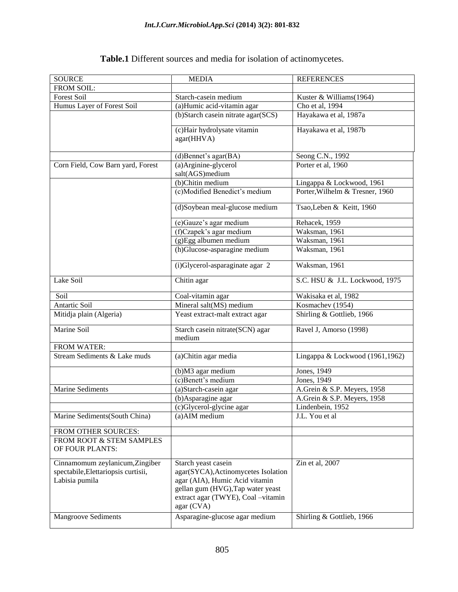#### SOURCE MEDIA REFERENCES FROM SOIL: Forest Soil Starch-casein medium Kuster & Williams(1964) Humus Layer of Forest Soil (a)Humic acid-vitamin agar Cho et al, 1994 (b)Starch casein nitrate agar(SCS) Hayakawa et al, 1987a (c)Hair hydrolysate vitamin agar(HHVA) Hayakawa et al, 1987b (d)Bennet's agar(BA) Seong C.N., 1992 Corn Field, Cow Barn yard, Forest (a)Arginine-glycerol salt(AGS)medium Porter et al, 1960 (b)Chitin medium Lingappa & Lockwood, 1961 (c)Modified Benedict"s medium Porter,Wilhelm & Tresner, 1960 (d)Soybean meal-glucose medium Tsao,Leben & Keitt, 1960 (e)Gauze's agar medium Rehacek, 1959<br>
(f)Czapek's agar medium Waksman, 1961  $(f)Czapek's agar medium$ (g)Egg albumen medium Waksman, 1961 (h)Glucose-asparagine medium Waksman, 1961 (i)Glycerol-asparaginate agar 2 Waksman, 1961 Lake Soil Chitin agar S.C. HSU & J.L. Lockwood, 1975 Soil Coal-vitamin agar Wakisaka et al, 1982 Antartic Soil Mineral salt(MS) medium Kosmachev (1954) Mitidja plain (Algeria) Yeast extract-malt extract agar Shirling & Gottlieb, 1966 Marine Soil Starch casein nitrate(SCN) agar medium Ravel J, Amorso (1998) FROM WATER: Stream Sediments & Lake muds (a)Chitin agar media Lingappa & Lockwood (1961,1962)  $(b)$ M3 agar medium  $\vert$  Jones, 1949 (c)Benett"s medium Jones, 1949 Marine Sediments (a)Starch-casein agar A.Grein & S.P. Meyers, 1958 (b)Asparagine agar <br>A.Grein & S.P. Meyers, 1958 (c)Glycerol-glycine agar Lindenbein, 1952 Marine Sediments(South China) (a)AIM medium J.L. You et al FROM OTHER SOURCES: FROM ROOT & STEM SAMPLES OF FOUR PLANTS: Cinnamomum zeylanicum,Zingiber spectabile,Elettariopsis curtisii, Labisia pumila Starch yeast casein agar(SYCA),Actinomycetes Isolation agar (AIA), Humic Acid vitamin gellan gum (HVG),Tap water yeast extract agar (TWYE), Coal –vitamin agar (CVA) Zin et al, 2007 Mangroove Sediments Asparagine-glucose agar medium Shirling & Gottlieb, 1966

#### **Table.1** Different sources and media for isolation of actinomycetes.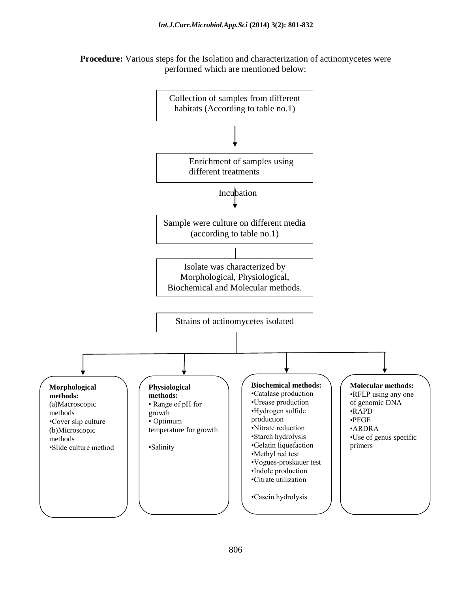**Procedure:** Various steps for the Isolation and characterization of actinomycetes were performed which are mentioned below:

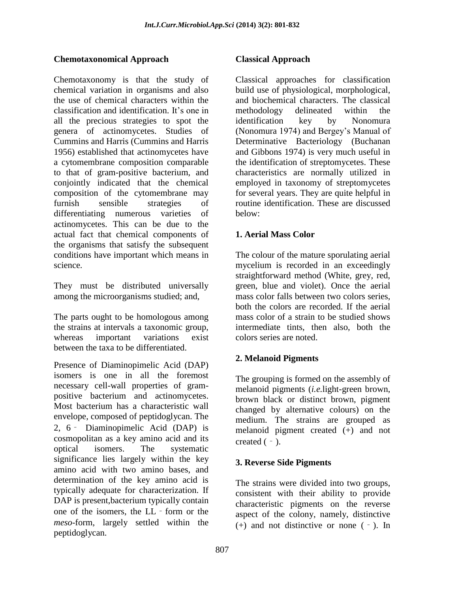# **Chemotaxonomical Approach**

Chemotaxonomy is that the study of chemical variation in organisms and also the use of chemical characters within the classification and identification. It"s one in all the precious strategies to spot the genera of actinomycetes. Studies of Cummins and Harris (Cummins and Harris 1956) established that actinomycetes have a cytomembrane composition comparable to that of gram-positive bacterium, and conjointly indicated that the chemical composition of the cytomembrane may furnish sensible strategies of differentiating numerous varieties of actinomycetes. This can be due to the actual fact that chemical components of the organisms that satisfy the subsequent conditions have important which means in science.

They must be distributed universally among the microorganisms studied; and,

The parts ought to be homologous among the strains at intervals a taxonomic group, whereas important variations exist between the taxa to be differentiated.

Presence of Diaminopimelic Acid (DAP) isomers is one in all the foremost necessary cell-wall properties of grampositive bacterium and actinomycetes. Most bacterium has a characteristic wall envelope, composed of peptidoglycan. The 2, 6‐ Diaminopimelic Acid (DAP) is cosmopolitan as a key amino acid and its optical isomers. The systematic significance lies largely within the key amino acid with two amino bases, and determination of the key amino acid is typically adequate for characterization. If DAP is present, bacterium typically contain one of the isomers, the LL - form or the *meso*-form, largely settled within the peptidoglycan.

Classical approaches for classification build use of physiological, morphological, and biochemical characters. The classical methodology delineated within the identification key by Nonomura (Nonomura 1974) and Bergey's Manual of Determinative Bacteriology (Buchanan and Gibbons 1974) is very much useful in the identification of streptomycetes. These characteristics are normally utilized in employed in taxonomy of streptomycetes for several years. They are quite helpful in routine identification. These are discussed below:

# **1. Aerial Mass Color**

The colour of the mature sporulating aerial mycelium is recorded in an exceedingly straightforward method (White, grey, red, green, blue and violet). Once the aerial mass color falls between two colors series, both the colors are recorded. If the aerial mass color of a strain to be studied shows intermediate tints, then also, both the colors series are noted.

# **2. Melanoid Pigments**

The grouping is formed on the assembly of melanoid pigments (*i.e.*light-green brown, brown black or distinct brown, pigment changed by alternative colours) on the medium. The strains are grouped as melanoid pigment created (+) and not created  $(-)$ .

# **3. Reverse Side Pigments**

The strains were divided into two groups, consistent with their ability to provide characteristic pigments on the reverse aspect of the colony, namely, distinctive (+) and not distinctive or none (‐). In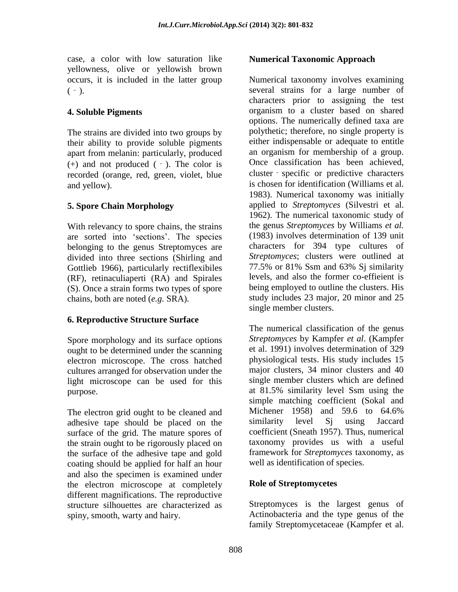case, a color with low saturation like yellowness, olive or yellowish brown occurs, it is included in the latter group  $(-)$ .

### **4. Soluble Pigments**

The strains are divided into two groups by their ability to provide soluble pigments apart from melanin: particularly, produced  $(+)$  and not produced  $(-)$ . The color is recorded (orange, red, green, violet, blue and yellow).

# **5. Spore Chain Morphology**

With relevancy to spore chains, the strains are sorted into "sections". The species belonging to the genus Streptomyces are divided into three sections (Shirling and Gottlieb 1966), particularly rectiflexibiles (RF), retinaculiaperti (RA) and Spirales (S). Once a strain forms two types of spore chains, both are noted (*e.g.* SRA).

# **6. Reproductive Structure Surface**

Spore morphology and its surface options ought to be determined under the scanning electron microscope. The cross hatched cultures arranged for observation under the light microscope can be used for this purpose.

The electron grid ought to be cleaned and adhesive tape should be placed on the surface of the grid. The mature spores of the strain ought to be rigorously placed on the surface of the adhesive tape and gold coating should be applied for half an hour and also the specimen is examined under the electron microscope at completely different magnifications. The reproductive structure silhouettes are characterized as spiny, smooth, warty and hairy.

### **Numerical Taxonomic Approach**

Numerical taxonomy involves examining several strains for a large number of characters prior to assigning the test organism to a cluster based on shared options. The numerically defined taxa are polythetic; therefore, no single property is either indispensable or adequate to entitle an organism for membership of a group. Once classification has been achieved, cluster‐specific or predictive characters is chosen for identification (Williams et al. 1983). Numerical taxonomy was initially applied to *Streptomyces* (Silvestri et al. 1962). The numerical taxonomic study of the genus *Streptomyces* by Williams *et al.* (1983) involves determination of 139 unit characters for 394 type cultures of *Streptomyces*; clusters were outlined at 77.5% or 81% Ssm and 63% Sj similarity levels, and also the former co-effieient is being employed to outline the clusters. His study includes 23 major, 20 minor and 25 single member clusters.

The numerical classification of the genus *Streptomyces* by Kampfer *et al*. (Kampfer et al. 1991) involves determination of 329 physiological tests. His study includes 15 major clusters, 34 minor clusters and 40 single member clusters which are defined at 81.5% similarity level Ssm using the simple matching coefficient (Sokal and Michener 1958) and 59.6 to 64.6% similarity level Sj using Jaccard coefficient (Sneath 1957). Thus, numerical taxonomy provides us with a useful framework for *Streptomyces* taxonomy, as well as identification of species.

# **Role of Streptomycetes**

Streptomyces is the largest genus of Actinobacteria and the type genus of the family Streptomycetaceae (Kampfer et al.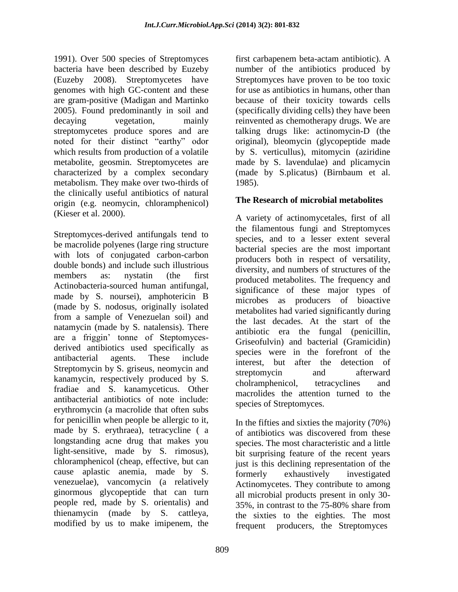1991). Over 500 species of Streptomyces bacteria have been described by Euzeby (Euzeby 2008). Streptomycetes have genomes with high GC-content and these are gram-positive (Madigan and Martinko 2005). Found predominantly in soil and decaying vegetation, mainly streptomycetes produce spores and are noted for their distinct "earthy" odor which results from production of a volatile metabolite, geosmin. Streptomycetes are characterized by a complex secondary metabolism. They make over two-thirds of the clinically useful antibiotics of natural origin (e.g. neomycin, chloramphenicol) (Kieser et al. 2000).

Streptomyces-derived antifungals tend to be macrolide polyenes (large ring structure with lots of conjugated carbon-carbon double bonds) and include such illustrious members as: nystatin (the first Actinobacteria-sourced human antifungal, made by S. noursei), amphotericin B (made by S. nodosus, originally isolated from a sample of Venezuelan soil) and natamycin (made by S. natalensis). There are a friggin" tonne of Steptomycesderived antibiotics used specifically as antibacterial agents. These include Streptomycin by S. griseus, neomycin and kanamycin, respectively produced by S. fradiae and S. kanamyceticus. Other antibacterial antibiotics of note include: erythromycin (a macrolide that often subs for penicillin when people be allergic to it, made by S. erythraea), tetracycline ( a longstanding acne drug that makes you light-sensitive, made by S. rimosus), chloramphenicol (cheap, effective, but can cause aplastic anemia, made by S. venezuelae), vancomycin (a relatively ginormous glycopeptide that can turn people red, made by S. orientalis) and thienamycin (made by S. cattleya, modified by us to make imipenem, the

first carbapenem beta-actam antibiotic). A number of the antibiotics produced by Streptomyces have proven to be too toxic for use as antibiotics in humans, other than because of their toxicity towards cells (specifically dividing cells) they have been reinvented as chemotherapy drugs. We are talking drugs like: actinomycin-D (the original), bleomycin (glycopeptide made by S. verticullus), mitomycin (aziridine made by S. lavendulae) and plicamycin (made by S.plicatus) (Birnbaum et al. 1985).

### **The Research of microbial metabolites**

A variety of actinomycetales, first of all the filamentous fungi and Streptomyces species, and to a lesser extent several bacterial species are the most important producers both in respect of versatility, diversity, and numbers of structures of the produced metabolites. The frequency and significance of these major types of microbes as producers of bioactive metabolites had varied significantly during the last decades. At the start of the antibiotic era the fungal (penicillin, Griseofulvin) and bacterial (Gramicidin) species were in the forefront of the interest, but after the detection of streptomycin and afterward cholramphenicol, tetracyclines and macrolides the attention turned to the species of Streptomyces.

In the fifties and sixties the majority (70%) of antibiotics was discovered from these species. The most characteristic and a little bit surprising feature of the recent years just is this declining representation of the formerly exhaustively investigated Actinomycetes. They contribute to among all microbial products present in only 30- 35%, in contrast to the 75-80% share from the sixties to the eighties. The most frequent producers, the Streptomyces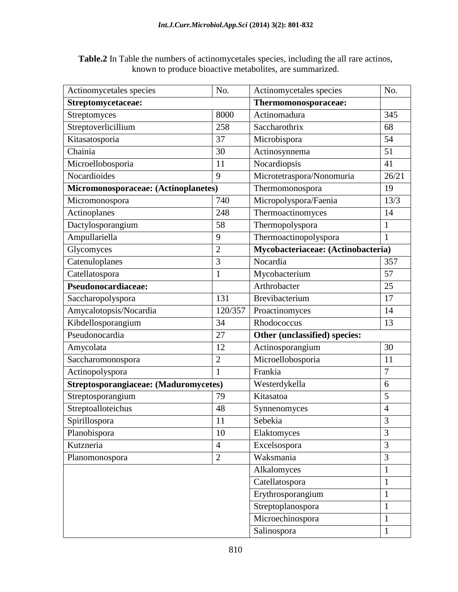**Table.2** In Table the numbers of actinomycetales species, including the all rare actinos, known to produce bioactive metabolites, are summarized.

| Actinomycetales species               | No.            | Actinomycetales species            | No.            |
|---------------------------------------|----------------|------------------------------------|----------------|
| Streptomycetaceae:                    |                | Thermomonosporaceae:               |                |
| Streptomyces                          | 8000           | Actinomadura                       | 345            |
| Streptoverlicillium                   | 258            | Saccharothrix                      | 68             |
| Kitasatosporia                        | 37             | Microbispora                       | 54             |
| Chainia                               | 30             | Actinosynnema                      | 51             |
| Microellobosporia                     | 11             | Nocardiopsis                       | 41             |
| Nocardioides                          | 9              | Microtetraspora/Nonomuria          | 26/21          |
| Micromonosporaceae: (Actinoplanetes)  |                | Thermomonospora                    | 19             |
| Micromonospora                        | 740            | Micropolyspora/Faenia              | 13/3           |
| Actinoplanes                          | 248            | Thermoactinomyces                  | 14             |
| Dactylosporangium                     | 58             | Thermopolyspora                    | 1              |
| Ampullariella                         | 9              | Thermoactinopolyspora              | $\mathbf{1}$   |
| Glycomyces                            | $\overline{2}$ | Mycobacteriaceae: (Actinobacteria) |                |
| Catenuloplanes                        | 3              | Nocardia                           | 357            |
| Catellatospora                        | $\mathbf{1}$   | Mycobacterium                      | 57             |
| Pseudonocardiaceae:                   |                | Arthrobacter                       | 25             |
| Saccharopolyspora                     | 131            | Brevibacterium                     | 17             |
| Amycalotopsis/Nocardia                | 120/357        | Proactinomyces                     | 14             |
| Kibdellosporangium                    | 34             | Rhodococcus                        | 13             |
| Pseudonocardia                        | 27             | Other (unclassified) species:      |                |
| Amycolata                             | 12             | Actinosporangium                   | 30             |
| Saccharomonospora                     | $\overline{2}$ | Microellobosporia                  | 11             |
| Actinopolyspora                       | $\mathbf{1}$   | Frankia                            | $\overline{7}$ |
| Streptosporangiaceae: (Maduromycetes) |                | Westerdykella                      | 6              |
| Streptosporangium                     | 79             | Kitasatoa                          | 5              |
| Streptoalloteichus                    | 48             | Synnenomyces                       | $\overline{4}$ |
| Spirillospora                         | 11             | Sebekia                            | 3              |
| Planobispora                          | 10             | Elaktomyces                        | 3              |
| Kutzneria                             | $\overline{4}$ | Excelsospora                       | 3              |
| Planomonospora                        | $\overline{2}$ | Waksmania                          | 3              |
|                                       |                | Alkalomyces                        | $\mathbf{1}$   |
|                                       |                | Catellatospora                     | $\mathbf{1}$   |
|                                       |                | Erythrosporangium                  | $\mathbf{1}$   |
|                                       |                | Streptoplanospora                  | $\mathbf{1}$   |
|                                       |                | Microechinospora                   | $\mathbf{1}$   |
|                                       |                | Salinospora                        | $\mathbf{1}$   |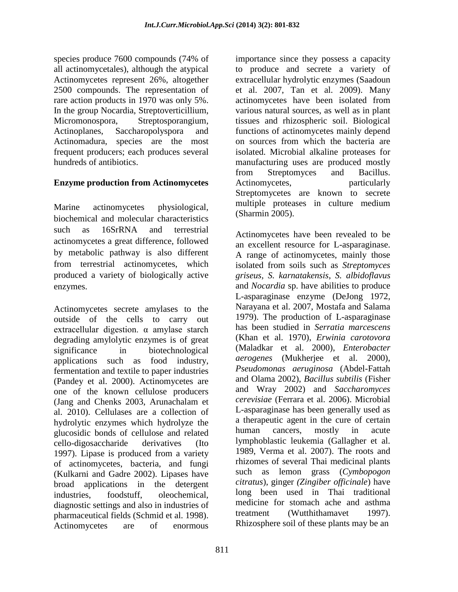species produce 7600 compounds (74% of all actinomycetales), although the atypical Actinomycetes represent 26%, altogether 2500 compounds. The representation of rare action products in 1970 was only 5%. In the group Nocardia, Streptoverticillium, Micromonospora, Streptosporangium, Actinoplanes, Saccharopolyspora and Actinomadura, species are the most frequent producers; each produces several hundreds of antibiotics.

### **Enzyme production from Actinomycetes**

Marine actinomycetes physiological, biochemical and molecular characteristics such as 16SrRNA and terrestrial actinomycetes a great difference, followed by metabolic pathway is also different from terrestrial actinomycetes, which produced a variety of biologically active enzymes.

Actinomycetes secrete amylases to the outside of the cells to carry out extracellular digestion. α amylase starch degrading amylolytic enzymes is of great significance in biotechnological applications such as food industry, fermentation and textile to paper industries (Pandey et al. 2000). Actinomycetes are one of the known cellulose producers (Jang and Chenks 2003, Arunachalam et al. 2010). Cellulases are a collection of hydrolytic enzymes which hydrolyze the glucosidic bonds of cellulose and related cello-digosaccharide derivatives (Ito 1997). Lipase is produced from a variety of actinomycetes, bacteria, and fungi (Kulkarni and Gadre 2002). Lipases have broad applications in the detergent industries, foodstuff, oleochemical, diagnostic settings and also in industries of pharmaceutical fields (Schmid et al. 1998). Actinomycetes are of enormous

importance since they possess a capacity to produce and secrete a variety of extracellular hydrolytic enzymes (Saadoun et al. 2007, Tan et al. 2009). Many actinomycetes have been isolated from various natural sources, as well as in plant tissues and rhizospheric soil. Biological functions of actinomycetes mainly depend on sources from which the bacteria are isolated. Microbial alkaline proteases for manufacturing uses are produced mostly from Streptomyces and Bacillus. Actinomycetes, particularly Streptomycetes are known to secrete multiple proteases in culture medium (Sharmin 2005).

Actinomycetes have been revealed to be an excellent resource for L-asparaginase. A range of actinomycetes, mainly those isolated from soils such as *Streptomyces griseus, S. karnatakensis*, *S. albidoflavus*  and *Nocardia* sp. have abilities to produce L-asparaginase enzyme (DeJong 1972, Narayana et al. 2007, Mostafa and Salama 1979). The production of L-asparaginase has been studied in *Serratia marcescens*  (Khan et al. 1970), *Erwinia carotovora*  (Maladkar et al. 2000), *Enterobacter aerogenes* (Mukherjee et al. 2000), *Pseudomonas aeruginosa* (Abdel-Fattah and Olama 2002), *Bacillus subtilis* (Fisher and Wray 2002) and *Saccharomyces cerevisiae* (Ferrara et al. 2006). Microbial L-asparaginase has been generally used as a therapeutic agent in the cure of certain human cancers, mostly in acute lymphoblastic leukemia (Gallagher et al. 1989, Verma et al. 2007). The roots and rhizomes of several Thai medicinal plants such as lemon grass (*Cymbopogon citratus*), ginger *(Zingiber officinale*) have long been used in Thai traditional medicine for stomach ache and asthma treatment (Wutthithamavet 1997). Rhizosphere soil of these plants may be an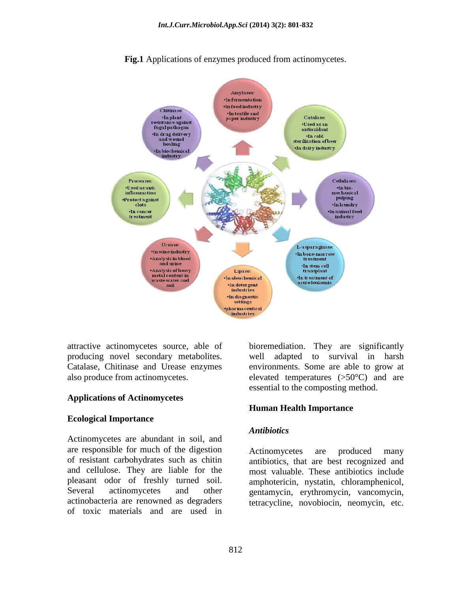

**Fig.1** Applications of enzymes produced from actinomycetes.

attractive actinomycetes source, able of producing novel secondary metabolites. Catalase, Chitinase and Urease enzymes also produce from actinomycetes.

#### **Applications of Actinomycetes**

#### **Ecological Importance**

Actinomycetes are abundant in soil, and are responsible for much of the digestion of resistant carbohydrates such as chitin and cellulose. They are liable for the pleasant odor of freshly turned soil. Several actinomycetes and other actinobacteria are renowned as degraders of toxic materials and are used in

bioremediation. They are significantly well adapted to survival in harsh environments. Some are able to grow at elevated temperatures (>50°C) and are essential to the composting method.

#### **Human Health Importance**

#### *Antibiotics*

Actinomycetes are produced many antibiotics, that are best recognized and most valuable. These antibiotics include amphotericin, nystatin, chloramphenicol, gentamycin, erythromycin, vancomycin, tetracycline, novobiocin, neomycin, etc.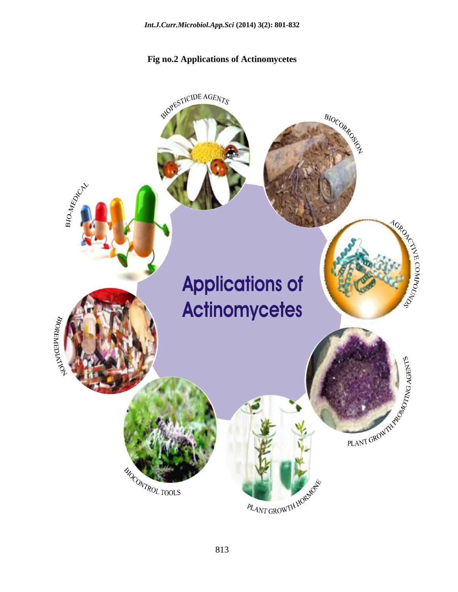# **Fig no.2 Applications of Actinomycetes**

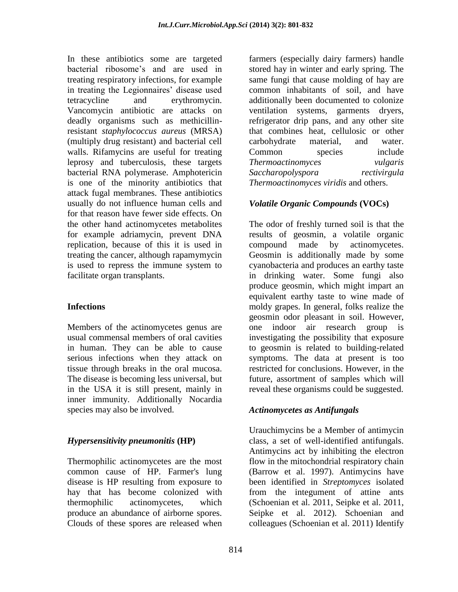In these antibiotics some are targeted bacterial ribosome"s and are used in treating respiratory infections, for example in treating the Legionnaires' disease used tetracycline and erythromycin. Vancomycin antibiotic are attacks on deadly organisms such as methicillinresistant *staphylococcus aureus* (MRSA) (multiply drug resistant) and bacterial cell walls. Rifamycins are useful for treating leprosy and tuberculosis, these targets bacterial RNA polymerase. Amphotericin is one of the minority antibiotics that attack fugal membranes. These antibiotics usually do not influence human cells and for that reason have fewer side effects. On the other hand actinomycetes metabolites for example adriamycin, prevent DNA replication, because of this it is used in treating the cancer, although rapamymycin is used to repress the immune system to facilitate organ transplants.

### **Infections**

Members of the actinomycetes genus are usual commensal members of oral cavities in human. They can be able to cause serious infections when they attack on tissue through breaks in the oral mucosa. The disease is becoming less universal, but in the USA it is still present, mainly in inner immunity. Additionally Nocardia species may also be involved.

# *Hypersensitivity pneumonitis* **(HP)**

Thermophilic actinomycetes are the most common cause of HP. Farmer's lung disease is HP resulting from exposure to hay that has become colonized with thermophilic actinomycetes, which produce an abundance of airborne spores. Clouds of these spores are released when farmers (especially dairy farmers) handle stored hay in winter and early spring. The same fungi that cause molding of hay are common inhabitants of soil, and have additionally been documented to colonize ventilation systems, garments dryers, refrigerator drip pans, and any other site that combines heat, cellulosic or other carbohydrate material, and water. Common species include *Thermoactinomyces vulgaris Saccharopolyspora rectivirgula Thermoactinomyces viridis* and others.

# *Volatile Organic Compounds* **(VOCs)**

The odor of freshly turned soil is that the results of geosmin, a volatile organic compound made by actinomycetes. Geosmin is additionally made by some cyanobacteria and produces an earthy taste in drinking water. Some fungi also produce geosmin, which might impart an equivalent earthy taste to wine made of moldy grapes. In general, folks realize the geosmin odor pleasant in soil. However, one indoor air research group is investigating the possibility that exposure to geosmin is related to building-related symptoms. The data at present is too restricted for conclusions. However, in the future, assortment of samples which will reveal these organisms could be suggested.

### *Actinomycetes as Antifungals*

Urauchimycins be a Member of antimycin class, a set of well-identified antifungals. Antimycins act by inhibiting the electron flow in the mitochondrial respiratory chain (Barrow et al. 1997). Antimycins have been identified in *Streptomyces* isolated from the integument of attine ants (Schoenian et al. 2011, Seipke et al. 2011, Seipke et al. 2012). Schoenian and colleagues (Schoenian et al. 2011) Identify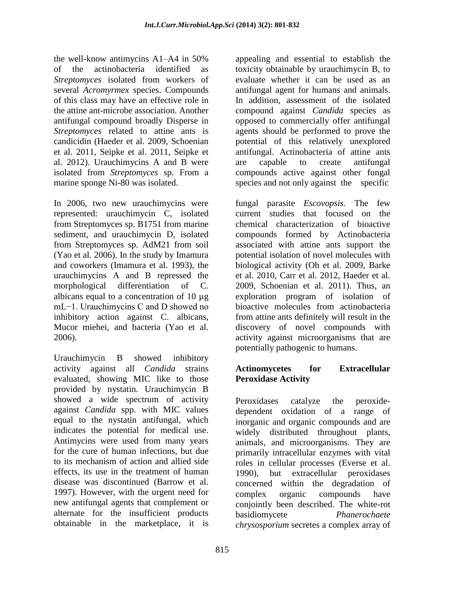the well-know antimycins A1–A4 in 50% of the actinobacteria identified as *Streptomyces* isolated from workers of several *Acromyrmex* species. Compounds of this class may have an effective role in the attine ant-microbe association. Another antifungal compound broadly Disperse in *Streptomyces* related to attine ants is candicidin (Haeder et al. 2009, Schoenian et al. 2011, Seipke et al. 2011, Seipke et al. 2012). Urauchimycins A and B were isolated from *Streptomyces* sp. From a marine sponge Ni-80 was isolated.

In 2006, two new urauchimycins were represented: urauchimycin C, isolated from Streptomyces sp. B1751 from marine sediment, and urauchimycin D, isolated from Streptomyces sp. AdM21 from soil (Yao et al. 2006). In the study by Imamura and coworkers (Imamura et al. 1993), the urauchimycins A and B repressed the morphological differentiation of C. albicans equal to a concentration of 10 µg mL−1. Urauchimycins C and D showed no inhibitory action against C. albicans, Mucor miehei, and bacteria (Yao et al. 2006).

Urauchimycin B showed inhibitory activity against all *Candida* strains evaluated, showing MIC like to those provided by nystatin. Urauchimycin B showed a wide spectrum of activity against *Candida* spp. with MIC values equal to the nystatin antifungal, which indicates the potential for medical use. Antimycins were used from many years for the cure of human infections, but due to its mechanism of action and allied side effects, its use in the treatment of human disease was discontinued (Barrow et al. 1997). However, with the urgent need for new antifungal agents that complement or alternate for the insufficient products obtainable in the marketplace, it is

appealing and essential to establish the toxicity obtainable by urauchimycin B, to evaluate whether it can be used as an antifungal agent for humans and animals. In addition, assessment of the isolated compound against *Candida* species as opposed to commercially offer antifungal agents should be performed to prove the potential of this relatively unexplored antifungal. Actinobacteria of attine ants are capable to create antifungal compounds active against other fungal species and not only against the specific

fungal parasite *Escovopsis.* The few current studies that focused on the chemical characterization of bioactive compounds formed by Actinobacteria associated with attine ants support the potential isolation of novel molecules with biological activity (Oh et al. 2009, Barke et al. 2010, Carr et al. 2012, Haeder et al. 2009, Schoenian et al. 2011). Thus, an exploration program of isolation of bioactive molecules from actinobacteria from attine ants definitely will result in the discovery of novel compounds with activity against microorganisms that are potentially pathogenic to humans.

### **Actinomycetes for Extracellular Peroxidase Activity**

Peroxidases catalyze the peroxidedependent oxidation of a range of inorganic and organic compounds and are widely distributed throughout plants, animals, and microorganisms. They are primarily intracellular enzymes with vital roles in cellular processes (Everse et al. 1990), but extracellular peroxidases concerned within the degradation of complex organic compounds have conjointly been described. The white-rot basidiomycete *Phanerochaete chrysosporium* secretes a complex array of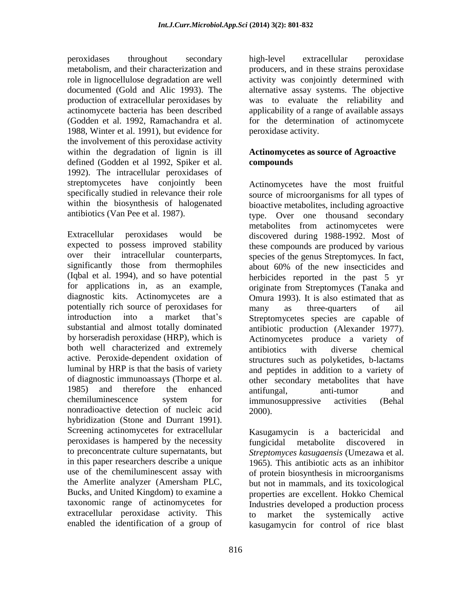peroxidases throughout secondary metabolism, and their characterization and role in lignocellulose degradation are well documented (Gold and Alic 1993). The production of extracellular peroxidases by actinomycete bacteria has been described (Godden et al. 1992, Ramachandra et al. 1988, Winter et al. 1991), but evidence for the involvement of this peroxidase activity within the degradation of lignin is ill defined (Godden et al 1992, Spiker et al. 1992). The intracellular peroxidases of streptomycetes have conjointly been specifically studied in relevance their role within the biosynthesis of halogenated antibiotics (Van Pee et al. 1987).

Extracellular peroxidases would be expected to possess improved stability over their intracellular counterparts, significantly those from thermophiles (Iqbal et al. 1994), and so have potential for applications in, as an example, diagnostic kits. Actinomycetes are a potentially rich source of peroxidases for introduction into a market that"s substantial and almost totally dominated by horseradish peroxidase (HRP), which is both well characterized and extremely active. Peroxide-dependent oxidation of luminal by HRP is that the basis of variety of diagnostic immunoassays (Thorpe et al. 1985) and therefore the enhanced chemiluminescence system for nonradioactive detection of nucleic acid hybridization (Stone and Durrant 1991). Screening actinomycetes for extracellular peroxidases is hampered by the necessity to preconcentrate culture supernatants, but in this paper researchers describe a unique use of the chemiluminescent assay with the Amerlite analyzer (Amersham PLC, Bucks, and United Kingdom) to examine a taxonomic range of actinomycetes for extracellular peroxidase activity. This enabled the identification of a group of high-level extracellular peroxidase producers, and in these strains peroxidase activity was conjointly determined with alternative assay systems. The objective was to evaluate the reliability and applicability of a range of available assays for the determination of actinomycete peroxidase activity.

### **Actinomycetes as source of Agroactive compounds**

Actinomycetes have the most fruitful source of microorganisms for all types of bioactive metabolites, including agroactive type. Over one thousand secondary metabolites from actinomycetes were discovered during 1988-1992. Most of these compounds are produced by various species of the genus Streptomyces*.* In fact, about 60% of the new insecticides and herbicides reported in the past 5 yr originate from Streptomyces (Tanaka and Omura 1993). It is also estimated that as many as three-quarters of ail Streptomycetes species are capable of antibiotic production (Alexander 1977). Actinomycetes produce a variety of antibiotics with diverse chemical structures such as polyketides, b-lactams and peptides in addition to a variety of other secondary metabolites that have antifungal, anti-tumor and immunosuppressive activities (Behal 2000).

Kasugamycin is a bactericidal and fungicidal metabolite discovered in *Streptomyces kasugaensis* (Umezawa et al. 1965). This antibiotic acts as an inhibitor of protein biosynthesis in microorganisms but not in mammals, and its toxicological properties are excellent. Hokko Chemical Industries developed a production process to market the systemically active kasugamycin for control of rice blast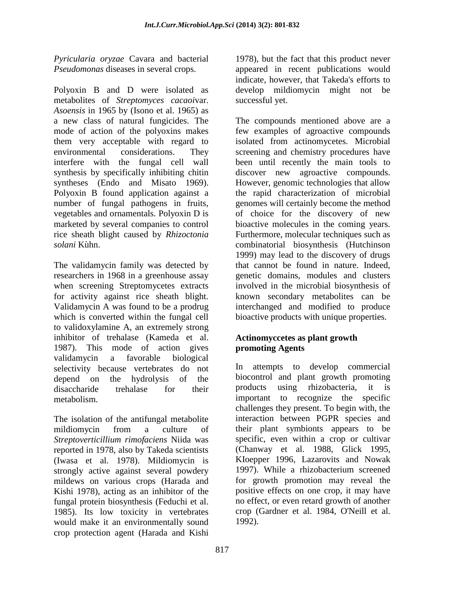*Pyricularia oryzae* Cavara and bacterial *Pseudomonas* diseases in several crops.

Polyoxin B and D were isolated as metabolites of *Streptomyces cacaoi*var. *Asoensis* in 1965 by (Isono et al. 1965) as a new class of natural fungicides. The mode of action of the polyoxins makes them very acceptable with regard to environmental considerations. They interfere with the fungal cell wall synthesis by specifically inhibiting chitin syntheses (Endo and Misato 1969). Polyoxin B found application against a number of fungal pathogens in fruits, vegetables and ornamentals. Polyoxin D is marketed by several companies to control rice sheath blight caused by *Rhizoctonia solani* Kùhn.

The validamycin family was detected by researchers in 1968 in a greenhouse assay when screening Streptomycetes extracts for activity against rice sheath blight. Validamycin A was found to be a prodrug which is converted within the fungal cell to validoxylamine A, an extremely strong inhibitor of trehalase (Kameda et al. 1987). This mode of action gives validamycin a favorable biological selectivity because vertebrates do not depend on the hydrolysis of the disaccharide trehalase for their metabolism.

The isolation of the antifungal metabolite mildiomycin from a culture of *Streptoverticillium rimofaciens* Niida was reported in 1978, also by Takeda scientists (Iwasa et al. 1978). Mildiomycin is strongly active against several powdery mildews on various crops (Harada and Kishi 1978), acting as an inhibitor of the fungal protein biosynthesis (Feduchi et al. 1985). Its low toxicity in vertebrates would make it an environmentally sound crop protection agent (Harada and Kishi

1978), but the fact that this product never appeared in recent publications would indicate, however, that Takeda's efforts to develop mildiomycin might not be successful yet.

The compounds mentioned above are a few examples of agroactive compounds isolated from actinomycetes. Microbial screening and chemistry procedures have been until recently the main tools to discover new agroactive compounds. However, genomic technologies that allow the rapid characterization of microbial genomes will certainly become the method of choice for the discovery of new bioactive molecules in the coming years. Furthermore, molecular techniques such as combinatorial biosynthesis (Hutchinson 1999) may lead to the discovery of drugs that cannot be found in nature. Indeed, genetic domains, modules and clusters involved in the microbial biosynthesis of known secondary metabolites can be interchanged and modified to produce bioactive products with unique properties.

### **Actinomyccetes as plant growth promoting Agents**

In attempts to develop commercial biocontrol and plant growth promoting products using rhizobacteria, it is important to recognize the specific challenges they present. To begin with, the interaction between PGPR species and their plant symbionts appears to be specific, even within a crop or cultivar (Chanway et al. 1988, Glick 1995, KIoepper 1996, Lazarovits and Nowak 1997). While a rhizobacterium screened for growth promotion may reveal the positive effects on one crop, it may have no effect, or even retard growth of another crop (Gardner et al. 1984, O'Neill et al. 1992).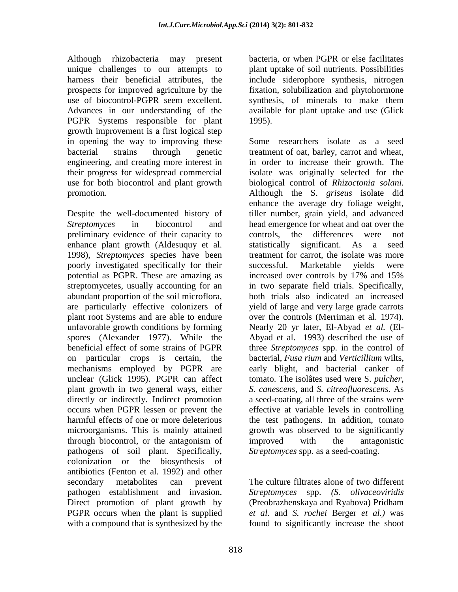Although rhizobacteria may present unique challenges to our attempts to harness their beneficial attributes, the prospects for improved agriculture by the use of biocontrol-PGPR seem excellent. Advances in our understanding of the PGPR Systems responsible for plant growth improvement is a first logical step in opening the way to improving these bacterial strains through genetic engineering, and creating more interest in their progress for widespread commercial use for both biocontrol and plant growth promotion.

Despite the well-documented history of *Streptomyces* in biocontrol and preliminary evidence of their capacity to enhance plant growth (Aldesuquy et al. 1998), *Streptomyces* species have been poorly investigated specifically for their potential as PGPR. These are amazing as streptomycetes, usually accounting for an abundant proportion of the soil microflora, are particularly effective colonizers of plant root Systems and are able to endure unfavorable growth conditions by forming spores (Alexander 1977). While the beneficial effect of some strains of PGPR on particular crops is certain, the mechanisms employed by PGPR are unclear (Glick 1995). PGPR can affect plant growth in two general ways, either directly or indirectly. Indirect promotion occurs when PGPR lessen or prevent the harmful effects of one or more deleterious microorganisms. This is mainly attained through biocontrol, or the antagonism of pathogens of soil plant. Specifically, colonization or the biosynthesis of antibiotics (Fenton et al. 1992) and other secondary metabolites can prevent pathogen establishment and invasion. Direct promotion of plant growth by PGPR occurs when the plant is supplied with a compound that is synthesized by the

bacteria, or when PGPR or else facilitates plant uptake of soil nutrients. Possibilities include siderophore synthesis, nitrogen fixation, solubilization and phytohormone synthesis, of minerals to make them available for plant uptake and use (Glick 1995).

Some researchers isolate as a seed treatment of oat, barley, carrot and wheat, in order to increase their growth. The isolate was originally selected for the biological control of *Rhizoctonia solani.*  Although the S. *griseus* isolate did enhance the average dry foliage weight, tiller number, grain yield, and advanced head emergence for wheat and oat over the controls, the differences were not statistically significant. As a seed treatment for carrot, the isolate was more successful. Marketable yields were increased over controls by 17% and 15% in two separate field trials. Specifically, both trials also indicated an increased yield of large and very large grade carrots over the controls (Merriman et al. 1974). Nearly 20 yr later, El-Abyad *et al.* (El-Abyad et al. 1993) described the use of three *Streptomyces* spp. in the control of bacterial, *Fusa rium* and *Verticillium* wilts, early blight, and bacterial canker of tomato. The isolâtes used were S. *pulcher, S. canescens*, and *S. citreofluorescens*. As a seed-coating, all three of the strains were effective at variable levels in controlling the test pathogens. In addition, tomato growth was observed to be significantly improved with the antagonistic *Streptomyces* spp. as a seed-coating.

The culture filtrates alone of two different *Streptomyces* spp. *(S. olivaceoviridis*  (Preobrazhenskaya and Ryabova) Pridham *et al.* and *S. rochei* Berger *et al.)* was found to significantly increase the shoot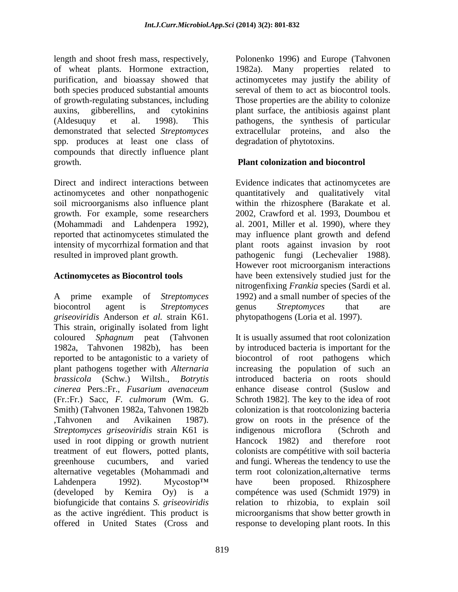length and shoot fresh mass, respectively, of wheat plants. Hormone extraction, purification, and bioassay showed that both species produced substantial amounts of growth-regulating substances, including auxins, gibberellins, and cytokinins (Aldesuquy et al. 1998). This demonstrated that selected *Streptomyces*  spp. produces at least one class of compounds that directly influence plant growth.

Direct and indirect interactions between actinomycetes and other nonpathogenic soil microorganisms also influence plant growth. For example, some researchers (Mohammadi and Lahdenpera 1992), reported that actinomycetes stimulated the intensity of mycorrhizal formation and that resulted in improved plant growth.

### **Actinomycetes as Biocontrol tools**

A prime example of *Streptomyces*  biocontrol agent is *Streptomyces griseoviridis* Anderson *et al.* strain K61. This strain, originally isolated from light coloured *Sphagnum* peat (Tahvonen 1982a, Tahvonen 1982b), has been reported to be antagonistic to a variety of plant pathogens together with *Alternaria brassicola* (Schw.) Wiltsh., *Botrytis cinerea* Pers.:Fr., *Fusarium avenaceum*  (Fr.:Fr.) Sacc, *F. culmorum* (Wm. G. Smith) (Tahvonen 1982a, Tahvonen 1982b ,Tahvonen and Avikainen 1987). *Streptomyces griseoviridis* strain K61 is used in root dipping or growth nutrient treatment of eut flowers, potted plants, greenhouse cucumbers, and varied alternative vegetables (Mohammadi and Lahdenpera 1992). Mycostop™ (developed by Kemira Oy) is a biofungicide that contains *S. griseoviridis*  as the active ingrédient. This product is offered in United States (Cross and

Polonenko 1996) and Europe (Tahvonen 1982a). Many properties related to actinomycetes may justify the ability of sereval of them to act as biocontrol tools. Those properties are the ability to colonize plant surface, the antibiosis against plant pathogens, the synthesis of particular extracellular proteins, and also the degradation of phytotoxins.

# **Plant colonization and biocontrol**

Evidence indicates that actinomycetes are quantitatively and qualitatively vital within the rhizosphere (Barakate et al. 2002, Crawford et al. 1993, Doumbou et al. 2001, Miller et al. 1990), where they may influence plant growth and defend plant roots against invasion by root pathogenic fungi (Lechevalier 1988). However root microorganism interactions have been extensively studied just for the nitrogenfixing *Frankia* species (Sardi et al. 1992) and a small number of species of the genus *Streptomyces* that are phytopathogens (Loria et al. 1997).

It is usually assumed that root colonization by introduced bacteria is important for the biocontrol of root pathogens which increasing the population of such an introduced bacteria on roots should enhance disease control (Suslow and Schroth 1982]. The key to the idea of root colonization is that rootcolonizing bacteria grow on roots in the présence of the indigenous microflora (Schroth and Hancock 1982) and therefore root colonists are compétitive with soil bacteria and fungi. Whereas the tendency to use the term root colonization,alternative terms have been proposed. Rhizosphere compétence was used (Schmidt 1979) in relation to rhizobia, to explain soil microorganisms that show better growth in response to developing plant roots. In this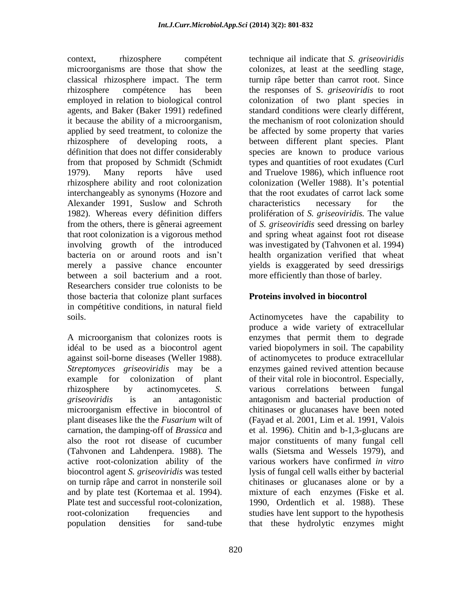context, rhizosphere compétent microorganisms are those that show the classical rhizosphere impact. The term rhizosphere compétence has been employed in relation to biological control agents, and Baker (Baker 1991) redefined it because the ability of a microorganism, applied by seed treatment, to colonize the rhizosphere of developing roots, a définition that does not differ considerably from that proposed by Schmidt (Schmidt 1979). Many reports hâve used rhizosphere ability and root colonization interchangeably as synonyms (Hozore and Alexander 1991, Suslow and Schroth 1982). Whereas every définition differs from the others, there is gênerai agreement that root colonization is a vigorous method involving growth of the introduced bacteria on or around roots and isn"t merely a passive chance encounter between a soil bacterium and a root. Researchers consider true colonists to be those bacteria that colonize plant surfaces in compétitive conditions, in natural field soils.

A microorganism that colonizes roots is idéal to be used as a biocontrol agent against soil-borne diseases (Weller 1988). *Streptomyces griseoviridis* may be a example for colonization of plant rhizosphere by actinomycetes. *S. griseoviridis* is an antagonistic microorganism effective in biocontrol of plant diseases like the the *Fusarium* wilt of carnation, the damping-off of *Brassica* and also the root rot disease of cucumber (Tahvonen and Lahdenpera. 1988). The active root-colonization ability of the biocontrol agent *S. griseoviridis* was tested on turnip râpe and carrot in nonsterile soil and by plate test (Kortemaa et al. 1994). Plate test and successful root-colonization, root-colonization frequencies and population densities for sand-tube

technique ail indicate that *S. griseoviridis*  colonizes, at least at the seedling stage, turnip râpe better than carrot root. Since the responses of S. *griseoviridis* to root colonization of two plant species in standard conditions were clearly différent, the mechanism of root colonization should be affected by some property that varies between different plant species. Plant species are known to produce various types and quantities of root exudates (Curl and Truelove 1986), which influence root colonization (Weller 1988). It's potential that the root exudates of carrot lack some characteristics necessary for the prolifération of *S. griseoviridis.* The value of *S. griseoviridis* seed dressing on barley and spring wheat against foot rot disease was investigated by (Tahvonen et al. 1994) health organization verified that wheat yields is exaggerated by seed dressirigs more efficiently than those of barley.

# **Proteins involved in biocontrol**

Actinomycetes have the capability to produce a wide variety of extracellular enzymes that permit them to degrade varied biopolymers in soil. The capability of actinomycetes to produce extracellular enzymes gained revived attention because of their vital role in biocontrol. Especially, various correlations between fungal antagonism and bacterial production of chitinases or glucanases have been noted (Fayad et al. 2001, Lim et al. 1991, Valois et al. 1996). Chitin and b-1,3-glucans are major constituents of many fungal cell walls (Sietsma and Wessels 1979), and various workers have confirmed *in vitro*  lysis of fungal cell walls either by bacterial chitinases or glucanases alone or by a mixture of each enzymes (Fiske et al. 1990, Ordentlich et al. 1988). These studies have lent support to the hypothesis that these hydrolytic enzymes might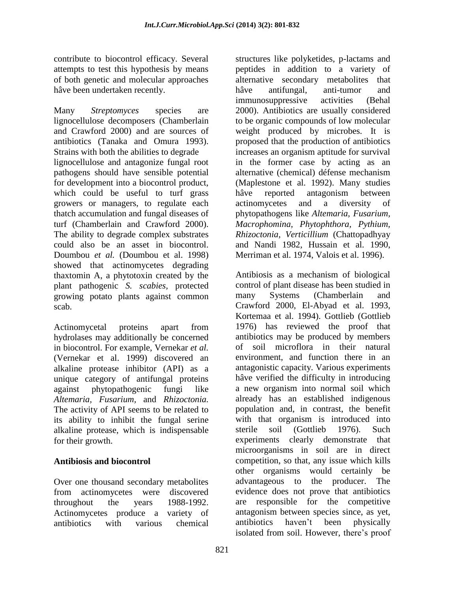contribute to biocontrol efficacy. Several attempts to test this hypothesis by means of both genetic and molecular approaches hâve been undertaken recently.

Many *Streptomyces* species are lignocellulose decomposers (Chamberlain and Crawford 2000) and are sources of antibiotics (Tanaka and Omura 1993). Strains with both the abilities to degrade lignocellulose and antagonize fungal root pathogens should have sensible potential for development into a biocontrol product, which could be useful to turf grass growers or managers, to regulate each thatch accumulation and fungal diseases of turf (Chamberlain and Crawford 2000). The ability to degrade complex substrates could also be an asset in biocontrol. Doumbou *et al.* (Doumbou et al. 1998) showed that actinomycetes degrading thaxtomin A, a phytotoxin created by the plant pathogenic *S. scabies,* protected growing potato plants against common scab.

Actinomycetal proteins apart from hydrolases may additionally be concerned in biocontrol. For example, Vernekar *et al.* (Vernekar et al. 1999) discovered an alkaline protease inhibitor (API) as a unique category of antifungal proteins against phytopathogenic fungi like *Altemaria, Fusarium,* and *Rhizoctonia.*  The activity of API seems to be related to its ability to inhibit the fungal serine alkaline protease, which is indispensable for their growth.

# **Antibiosis and biocontrol**

Over one thousand secondary metabolites from actinomycetes were discovered throughout the years 1988-1992. Actinomycetes produce a variety of antibiotics with various chemical

structures like polyketides, p-lactams and peptides in addition to a variety of alternative secondary metabolites that hâve antifungal, anti-tumor and immunosuppressive activities (Behal 2000). Antibiotics are usually considered to be organic compounds of low molecular weight produced by microbes. It is proposed that the production of antibiotics increases an organism aptitude for survival in the former case by acting as an alternative (chemical) défense mechanism (Maplestone et al. 1992). Many studies hâve reported antagonism between actinomycetes and a diversity of phytopathogens like *Altemaria, Fusarium, Macrophomina, Phytophthora, Pythium, Rhizoctonia, Verticillium* (Chattopadhyay and Nandi 1982, Hussain et al. 1990, Merriman et al. 1974, Valois et al. 1996).

Antibiosis as a mechanism of biological control of plant disease has been studied in many Systems (Chamberlain and Crawford 2000, El-Abyad et al. 1993, Kortemaa et al. 1994). Gottlieb (Gottlieb 1976) has reviewed the proof that antibiotics may be produced by members of soil microflora in their natural environment, and function there in an antagonistic capacity. Various experiments hâve verified the difficulty in introducing a new organism into normal soil which already has an established indigenous population and, in contrast, the benefit with that organism is introduced into sterile soil (Gottlieb 1976). Such experiments clearly demonstrate that microorganisms in soil are in direct competition, so that, any issue which kills other organisms would certainly be advantageous to the producer. The evidence does not prove that antibiotics are responsible for the competitive antagonism between species since, as yet, antibiotics haven"t been physically isolated from soil. However, there's proof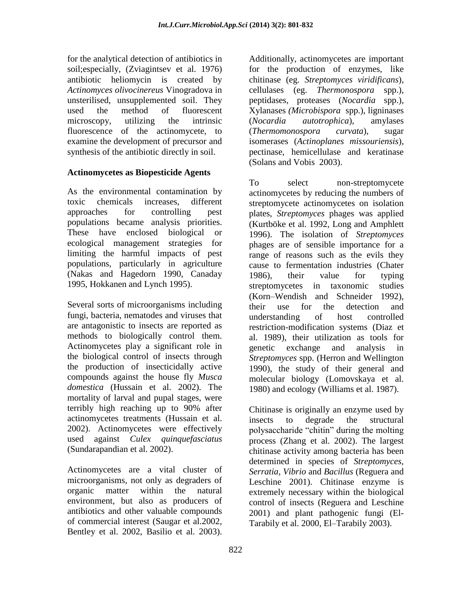for the analytical detection of antibiotics in soil;especially, (Zviagintsev et al. 1976) antibiotic heliomycin is created by *Actinomyces olivocinereus* Vinogradova in unsterilised, unsupplemented soil. They used the method of fluorescent microscopy, utilizing the intrinsic fluorescence of the actinomycete, to examine the development of precursor and synthesis of the antibiotic directly in soil.

### **Actinomycetes as Biopesticide Agents**

As the environmental contamination by toxic chemicals increases, different approaches for controlling pest populations became analysis priorities. These have enclosed biological or ecological management strategies for limiting the harmful impacts of pest populations, particularly in agriculture (Nakas and Hagedorn 1990, Canaday 1995, Hokkanen and Lynch 1995).

Several sorts of microorganisms including fungi, bacteria, nematodes and viruses that are antagonistic to insects are reported as methods to biologically control them. Actinomycetes play a significant role in the biological control of insects through the production of insecticidally active compounds against the house fly *Musca domestica* (Hussain et al. 2002). The mortality of larval and pupal stages, were terribly high reaching up to 90% after actinomycetes treatments (Hussain et al. 2002). Actinomycetes were effectively used against *Culex quinquefasciatus*  (Sundarapandian et al. 2002).

Actinomycetes are a vital cluster of microorganisms, not only as degraders of organic matter within the natural environment, but also as producers of antibiotics and other valuable compounds of commercial interest (Saugar et al.2002, Bentley et al. 2002, Basilio et al. 2003).

Additionally, actinomycetes are important for the production of enzymes, like chitinase (eg. *Streptomyces viridificans*), cellulases (eg. *Thermonospora* spp.), peptidases, proteases (*Nocardia* spp.), Xylanases *(Microbispora* spp.), ligninases (*Nocardia autotrophica*), amylases (*Thermomonospora curvata*), sugar isomerases (*Actinoplanes missouriensis*), pectinase, hemicellulase and keratinase (Solans and Vobis 2003).

To select non-streptomycete actinomycetes by reducing the numbers of streptomycete actinomycetes on isolation plates, *Streptomyces* phages was applied (Kurtböke et al. 1992, Long and Amphlett 1996). The isolation of *Streptomyces*  phages are of sensible importance for a range of reasons such as the evils they cause to fermentation industries (Chater 1986), their value for typing streptomycetes in taxonomic studies (Korn–Wendish and Schneider 1992), their use for the detection and understanding of host controlled restriction-modification systems (Diaz et al. 1989), their utilization as tools for genetic exchange and analysis in *Streptomyces* spp. (Herron and Wellington 1990), the study of their general and molecular biology (Lomovskaya et al. 1980) and ecology (Williams et al. 1987).

Chitinase is originally an enzyme used by insects to degrade the structural polysaccharide "chitin" during the molting process (Zhang et al. 2002). The largest chitinase activity among bacteria has been determined in species of *Streptomyces, Serratia, Vibrio* and *Bacillus* (Reguera and Leschine 2001). Chitinase enzyme is extremely necessary within the biological control of insects (Reguera and Leschine 2001) and plant pathogenic fungi (El-Tarabily et al. 2000, El–Tarabily 2003).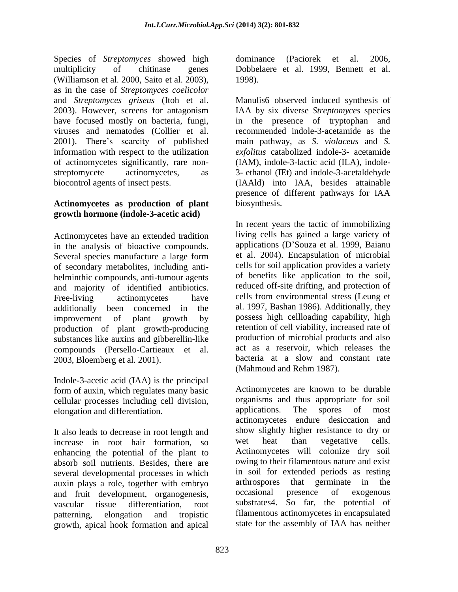Species of *Streptomyces* showed high multiplicity of chitinase genes (Williamson et al. 2000, Saito et al. 2003), as in the case of *Streptomyces coelicolor*  and *Streptomyces griseus* (Itoh et al. 2003). However, screens for antagonism have focused mostly on bacteria, fungi, viruses and nematodes (Collier et al. 2001). There"s scarcity of published information with respect to the utilization of actinomycetes significantly, rare nonstreptomycete actinomycetes, as biocontrol agents of insect pests.

### **Actinomycetes as production of plant growth hormone (indole-3-acetic acid)**

Actinomycetes have an extended tradition in the analysis of bioactive compounds. Several species manufacture a large form of secondary metabolites, including antihelminthic compounds, anti-tumour agents and majority of identified antibiotics. Free-living actinomycetes have additionally been concerned in the improvement of plant growth by production of plant growth-producing substances like auxins and gibberellin-like compounds (Persello-Cartieaux et al. 2003, Bloemberg et al. 2001).

Indole-3-acetic acid (IAA) is the principal form of auxin, which regulates many basic cellular processes including cell division, elongation and differentiation.

It also leads to decrease in root length and increase in root hair formation, so enhancing the potential of the plant to absorb soil nutrients. Besides, there are several developmental processes in which auxin plays a role, together with embryo and fruit development, organogenesis, vascular tissue differentiation, root patterning, elongation and tropistic growth, apical hook formation and apical

dominance (Paciorek et al. 2006, Dobbelaere et al. 1999, Bennett et al. 1998).

Manulis6 observed induced synthesis of IAA by six diverse *Streptomyces* species in the presence of tryptophan and recommended indole-3-acetamide as the main pathway, as *S. violaceus* and *S. exfolitus* catabolized indole-3- acetamide (IAM), indole-3-lactic acid (ILA), indole-3- ethanol (IEt) and indole-3-acetaldehyde (IAAld) into IAA, besides attainable presence of different pathways for IAA biosynthesis.

In recent years the tactic of immobilizing living cells has gained a large variety of applications (D"Souza et al. 1999, Baianu et al. 2004). Encapsulation of microbial cells for soil application provides a variety of benefits like application to the soil, reduced off-site drifting, and protection of cells from environmental stress (Leung et al. 1997, Bashan 1986). Additionally, they possess high cellloading capability, high retention of cell viability, increased rate of production of microbial products and also act as a reservoir, which releases the bacteria at a slow and constant rate (Mahmoud and Rehm 1987).

Actinomycetes are known to be durable organisms and thus appropriate for soil applications. The spores of most actinomycetes endure desiccation and show slightly higher resistance to dry or wet heat than vegetative cells. Actinomycetes will colonize dry soil owing to their filamentous nature and exist in soil for extended periods as resting arthrospores that germinate in the occasional presence of exogenous substrates4. So far, the potential of filamentous actinomycetes in encapsulated state for the assembly of IAA has neither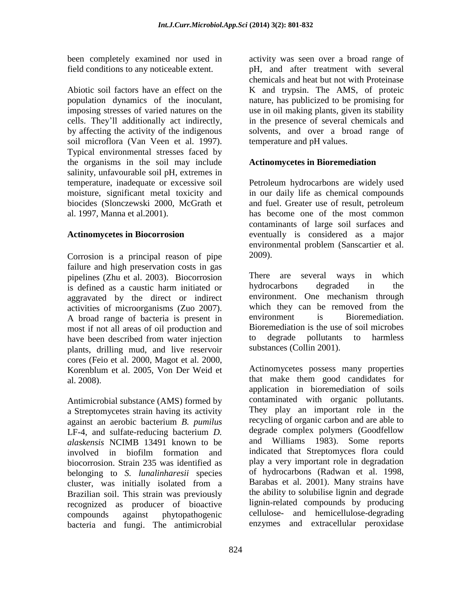been completely examined nor used in field conditions to any noticeable extent.

Abiotic soil factors have an effect on the population dynamics of the inoculant, imposing stresses of varied natures on the cells. They"ll additionally act indirectly, by affecting the activity of the indigenous soil microflora (Van Veen et al. 1997). Typical environmental stresses faced by the organisms in the soil may include salinity, unfavourable soil pH, extremes in temperature, inadequate or excessive soil moisture, significant metal toxicity and biocides (Slonczewski 2000, McGrath et al. 1997, Manna et al.2001).

### **Actinomycetes in Biocorrosion**

Corrosion is a principal reason of pipe failure and high preservation costs in gas pipelines (Zhu et al. 2003). Biocorrosion is defined as a caustic harm initiated or aggravated by the direct or indirect activities of microorganisms (Zuo 2007). A broad range of bacteria is present in most if not all areas of oil production and have been described from water injection plants, drilling mud, and live reservoir cores (Feio et al. 2000, Magot et al. 2000, Korenblum et al. 2005, Von Der Weid et al. 2008).

Antimicrobial substance (AMS) formed by a Streptomycetes strain having its activity against an aerobic bacterium *B. pumilus*  LF-4, and sulfate-reducing bacterium *D. alaskensis* NCIMB 13491 known to be involved in biofilm formation and biocorrosion. Strain 235 was identified as belonging to *S. lunalinharesii* species cluster, was initially isolated from a Brazilian soil. This strain was previously recognized as producer of bioactive compounds against phytopathogenic bacteria and fungi. The antimicrobial

activity was seen over a broad range of pH, and after treatment with several chemicals and heat but not with Proteinase K and trypsin. The AMS, of proteic nature, has publicized to be promising for use in oil making plants, given its stability in the presence of several chemicals and solvents, and over a broad range of temperature and pH values.

# **Actinomycetes in Bioremediation**

Petroleum hydrocarbons are widely used in our daily life as chemical compounds and fuel. Greater use of result, petroleum has become one of the most common contaminants of large soil surfaces and eventually is considered as a major environmental problem (Sanscartier et al. 2009).

There are several ways in which hydrocarbons degraded in the environment. One mechanism through which they can be removed from the environment is Bioremediation. Bioremediation is the use of soil microbes to degrade pollutants to harmless substances (Collin 2001).

Actinomycetes possess many properties that make them good candidates for application in bioremediation of soils contaminated with organic pollutants. They play an important role in the recycling of organic carbon and are able to degrade complex polymers (Goodfellow and Williams 1983). Some reports indicated that Streptomyces flora could play a very important role in degradation of hydrocarbons (Radwan et al. 1998, Barabas et al. 2001). Many strains have the ability to solubilise lignin and degrade lignin-related compounds by producing cellulose- and hemicellulose-degrading enzymes and extracellular peroxidase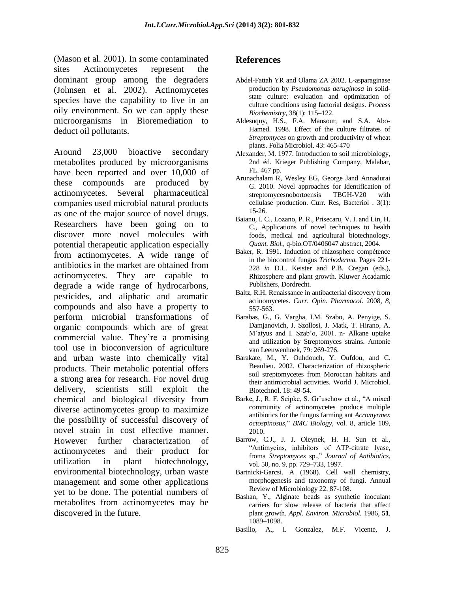(Mason et al. 2001). In some contaminated sites Actinomycetes represent the dominant group among the degraders (Johnsen et al. 2002). Actinomycetes species have the capability to live in an oily environment. So we can apply these microorganisms in Bioremediation to deduct oil pollutants.

Around 23,000 bioactive secondary metabolites produced by microorganisms have been reported and over 10,000 of these compounds are produced by actinomycetes. Several pharmaceutical companies used microbial natural products as one of the major source of novel drugs. Researchers have been going on to discover more novel molecules with potential therapeutic application especially from actinomycetes. A wide range of antibiotics in the market are obtained from actinomycetes. They are capable to degrade a wide range of hydrocarbons, pesticides, and aliphatic and aromatic compounds and also have a property to perform microbial transformations of organic compounds which are of great commercial value. They"re a promising tool use in bioconversion of agriculture and urban waste into chemically vital products. Their metabolic potential offers a strong area for research. For novel drug delivery, scientists still exploit the chemical and biological diversity from diverse actinomycetes group to maximize the possibility of successful discovery of novel strain in cost effective manner. However further characterization of actinomycetes and their product for utilization in plant biotechnology, environmental biotechnology, urban waste management and some other applications yet to be done. The potential numbers of metabolites from actinomycetes may be discovered in the future.

### **References**

- Abdel-Fattah YR and Olama ZA 2002. L-asparaginase production by *Pseudomonas aeruginosa* in solidstate culture: evaluation and optimization of culture conditions using factorial designs. *Process Biochemistry*, 38(1): 115–122.
- Aldesuquy, H.S., F.A. Mansour, and S.A. Abo-Hamed. 1998. Effect of the culture filtrates of *Streptomyces* on growth and productivity of wheat plants. Folia Microbiol. 43: 465-470
- Alexander, M. 1977. Introduction to soil microbiology, 2nd éd. Krieger Publishing Company, Malabar, FL. 467 pp.
- Arunachalam R, Wesley EG, George Jand Annadurai G. 2010. Novel approaches for Identification of streptomycesnobortoensis TBGH-V20 with cellulase production. Curr. Res, Bacteriol . 3(1): 15-26.
- Baianu, I. C., Lozano, P. R., Prisecaru, V. I. and Lin, H. C., Applications of novel techniques to health foods, medical and agricultural biotechnology. *Quant. Biol.*, q-bio.OT/0406047 abstract, 2004.
- Baker, R. 1991. Induction of rhizosphere compétence in the biocontrol fungus *Trichoderma.* Pages 221- 228 *in* D.L. Keister and P.B. Cregan (eds.), Rhizosphere and plant growth. Kluwer Acadamic Publishers, Dordrecht.
- Baltz, R.H. Renaissance in antibacterial discovery from actinomycetes. *Curr. Opin. Pharmacol*. 2008, *8*, 557-563.
- Barabas, G., G. Vargha, I.M. Szabo, A. Penyige, S. Damjanovich, J. Szollosi, J. Matk, T. Hirano, A. M"atyus and I. Szab"o, 2001. n- Alkane uptake and utilization by Streptomyces strains. Antonie van Leeuwenhoek, 79: 269-276.
- Barakate, M., Y. Ouhdouch, Y. Oufdou, and C. Beaulieu. 2002. Characterization of rhizospheric soil streptomycetes from Moroccan habitats and their antimicrobial activities. World J. Microbiol. Biotechnol. 18: 49-54.
- Barke, J., R. F. Seipke, S. Gr¨uschow et al., "A mixed community of actinomycetes produce multiple antibiotics for the fungus farming ant *Acromyrmex octospinosus*," *BMC Biology*, vol. 8, article 109, 2010.
- Barrow, C.J., J. J. Oleynek, H. H. Sun et al., "Antimycins, inhibitors of ATP-citrate lyase, froma *Streptomyces* sp.," *Journal of Antibiotics*, vol. 50, no. 9, pp. 729–733, 1997.
- Bartnicki-Garcsi. A (1968). Cell wall chemistry, morphogenesis and taxonomy of fungi. Annual Review of Microbiology 22, 87-108.
- Bashan, Y., Alginate beads as synthetic inoculant carriers for slow release of bacteria that affect plant growth. *Appl. Environ. Microbiol.* 1986, **51**, 1089–1098.
- Basilio, A., I. Gonzalez, M.F. Vicente, J.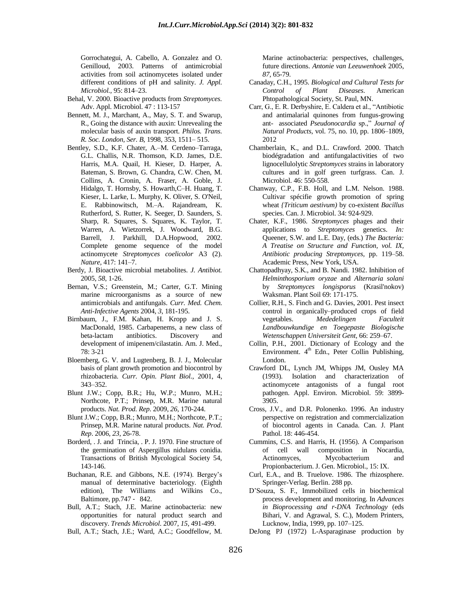Gorrochategui, A. Cabello, A. Gonzalez and O. Genilloud, 2003. Patterns of antimicrobial activities from soil actinomycetes isolated under different conditions of pH and salinity. *J. Appl. Microbiol.,* 95: 814–23.

- Behal, V. 2000. Bioactive products from *Streptomyces.*  Adv. Appl. Microbiol. 47 : 113-157
- Bennett, M. J., Marchant, A., May, S. T. and Swarup, R., Going the distance with auxin: Unrevealing the molecular basis of auxin transport. *Philos. Trans. R. Soc. London, Ser. B*, 1998, 353, 1511– 515.
- Bentley, S.D., K.F. Chater, A.–M. Cerdeno–Tarraga, G.L. Challis, N.R. Thomson, K.D. James, D.E. Harris, M.A. Quail, H. Kieser, D. Harper, A. Bateman, S. Brown, G. Chandra, C.W. Chen, M. Collins, A. Cronin, A. Fraser, A. Goble, J. Hidalgo, T. Hornsby, S. Howarth,C–H. Huang, T. Kieser, L. Larke, L. Murphy, K. Oliver, S. O'Neil, E. Rabbinowitsch, M.–A. Rajandream, K. Rutherford, S. Rutter, K. Seeger, D. Saunders, S. Sharp, R. Squares, S. Squares, K. Taylor, T. Warren, A. Wietzorrek, J. Woodward, B.G. Barrell, J. Parkhill, D.A.Hopwood, 2002. Complete genome sequence of the model actinomycete *Streptomyces coelicolor* A3 (2). *Nature,* 417: 141–7.
- Berdy, J. Bioactive microbial metabolites. *J. Antibiot.*  2005, *58*, 1-26.
- Bernan, V.S.; Greenstein, M.; Carter, G.T. Mining marine microorganisms as a source of new antimicrobials and antifungals. *Curr. Med. Chem. Anti-Infective Agents* 2004, *3*, 181-195.
- Birnbaum, J., F.M. Kahan, H. Kropp and J. S. MacDonald, 1985. Carbapenems, a new class of beta-lactam antibiotics. Discovery and development of imipenem/cilastatin. Am. J. Med., 78: 3-21
- Bloemberg, G. V. and Lugtenberg, B. J. J., Molecular basis of plant growth promotion and biocontrol by rhizobacteria. *Curr. Opin. Plant Biol.*, 2001, 4, 343–352.
- Blunt J.W.; Copp, B.R.; Hu, W.P.; Munro, M.H.; Northcote, P.T.; Prinsep, M.R. Marine natural products. *Nat. Prod. Rep*. 2009, *26*, 170-244.
- Blunt J.W.; Copp, B.R.; Munro, M.H.; Northcote, P.T.; Prinsep, M.R. Marine natural products. *Nat. Prod. Rep*. 2006, *23*, 26-78.
- Borderd, . J. and Trincia, . P. J. 1970. Fine structure of the germination of Aspergillus nidulans conidia. Transactions of British Mycological Society 54, 143-146.
- Buchanan, R.E. and Gibbons, N.E. (1974). Bergey's manual of determinative bacteriology. (Eighth edition), The Williams and Wilkins Co., Baltimore, pp.747 ‐ 842.
- Bull, A.T.; Stach, J.E. Marine actinobacteria: new opportunities for natural product search and discovery. *Trends Microbiol*. 2007, *15*, 491-499.
- Bull, A.T.; Stach, J.E.; Ward, A.C.; Goodfellow, M.

Marine actinobacteria: perspectives, challenges, future directions. *Antonie van Leeuwenhoek* 2005, *87*, 65-79.

- Canaday, C.H., 1995. *Biological and Cultural Tests for Control of Plant Diseases*. American Phtopathological Society, St. Paul, MN.
- Carr, G., E. R. Derbyshire, E. Caldera et al., "Antibiotic and antimalarial quinones from fungus-growing ant- associated *Pseudonocardia* sp.," *Journal of Natural Products*, vol. 75, no. 10, pp. 1806–1809, 2012
- Chamberlain, K., and D.L. Crawford. 2000. Thatch biodégradation and antifungalactivities of two lignocellulolytic *Streptomyces* strains in laboratory cultures and in golf green turfgrass. Can. J. Microbiol. 46: 550-558.
- Chanway, C.P., F.B. Holl, and L.M. Nelson. 1988. Cultivar spécifie growth promotion of spring wheat *{Triticum aestivum)* by co-existent *Bacillus*  species. Can. J. Microbiol. 34: 924-929.
- Chater, K.F., 1986. *Streptomyces* phages and their applications to *Streptomyces* genetics. *In:*  Queener, S.W. and L.E. Day, (eds.) *The Bacteria: A Treatise on Structure and Function, vol. IX, Antibiotic producing Streptomyces,* pp. 119–58. Academic Press, New York, USA.
- Chattopadhyay, S.K., and B. Nandi. 1982. Inhibition of *Helminthosporium oryzae* and *Alternaria solani*  by *Streptomyces longisporus* (Krasil'nokov) Waksman. Plant Soil 69: 171-175.
- Collier, R.H., S. Finch and G. Davies, 2001. Pest insect control in organically–produced crops of field vegetables. *Mededelingen Faculteit Landbouwkundige en Toegepaste Biologische Wetenschappen Universiteit Gent,* 66: 259–67.
- Collin, P.H., 2001. Dictionary of Ecology and the Environment.  $4<sup>th</sup>$  Edn., Peter Collin Publishing, London.
- Crawford DL, Lynch JM, Whipps JM, Ousley MA (1993). Isolation and characterization of actinomycete antagonists of a fungal root pathogen. Appl. Environ. Microbiol. 59: 3899- 3905.
- Cross, J.V., and D.R. Polonenko. 1996. An industry perspective on registration and commercialization of biocontrol agents in Canada. Can. J. Plant Pathol. 18: 446-454.
- Cummins, C.S. and Harris, H. (1956). A Comparison of cell wall composition in Nocardia, Actinomyces, Mycobacterium and Propionbacterium. J. Gen. Microbiol., 15: IX.
- Curl, E.A., and B. Truelove. 1986. The rhizosphere. Springer-Verlag. Berlin. 288 pp.
- D"Souza, S. F., Immobilized cells in biochemical process development and monitoring. In *Advances in Bioprocessing and r-DNA Technology* (eds Bihari, V. and Agrawal, S. C.), Modern Printers, Lucknow, India, 1999, pp. 107–125.
- DeJong PJ (1972) L-Asparaginase production by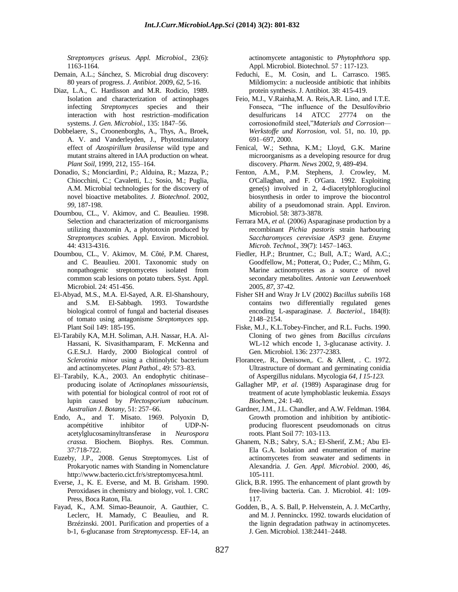*Streptomyces griseus. Appl. Microbiol.*, 23(6): 1163-1164*.*

- Demain, A.L.; Sánchez, S. Microbial drug discovery: 80 years of progress. *J. Antibiot*. 2009, *62*, 5-16.
- Diaz, L.A., C. Hardisson and M.R. Rodicio, 1989. Isolation and characterization of actinophages infecting *Streptomyces* species and their interaction with host restriction–modification systems. *J. Gen. Microbiol.,* 135: 1847–56.
- Dobbelaere, S., Croonenborghs, A., Thys, A., Broek, A. V. and Vanderleyden, J., Phytostimulatory effect of *Azospirillum brasilense* wild type and mutant strains altered in IAA production on wheat. *Plant Soil*, 1999, 212, 155–164.
- Donadio, S.; Monciardini, P.; Alduina, R.; Mazza, P.; Chiocchini, C.; Cavaletti, L.; Sosio, M.; Puglia, A.M. Microbial technologies for the discovery of novel bioactive metabolites. *J. Biotechnol*. 2002, *99*, 187-198.
- Doumbou, CL., V. Akimov, and C. Beaulieu. 1998. Selection and characterization of microorganisms utilizing thaxtomin A, a phytotoxin produced by *Streptomyces scabies.* Appl. Environ. Microbiol. 44: 4313-4316.
- Doumbou, CL., V. Akimov, M. Côté, P.M. Charest, and C. Beaulieu. 2001. Taxonomic study on nonpathogenic streptomycetes isolated from common scab lesions on potato tubers. Syst. Appl. Microbiol. 24: 451-456.
- El-Abyad, M.S., M.A. El-Sayed, A.R. El-Shanshoury, and S.M. El-Sabbagh. 1993. Towardsthe biological control of fungal and bacterial diseases of tomato using antagonisme *Streptomyces* spp. Plant Soil 149: 185-195.
- El-Tarabily KA, M.H. Soliman, A.H. Nassar, H.A. Al-Hassani, K. Sivasithamparam, F. McKenna and G.E.St.J. Hardy, 2000 Biological control of *Sclerotinia minor* using a chitinolytic bacterium and actinomycetes. *Plant Pathol.,* 49: 573–83.
- El–Tarabily, K.A., 2003. An endophytic chitinase– producing isolate of *Actinoplanes missouriensis*, with potential for biological control of root rot of lupin caused by *Plectosporium tabacinum*. *Australian J. Botany,* 51: 257–66.
- Endo, A., and T. Misato. 1969. Polyoxin D, acompétitive inhibitor of UDP-Nacetylglucosaminyltransferase in *Neurospora crassa.* Biochem. Biophys. Res. Commun. 37:718-722.
- Euzeby, J.P., 2008. Genus Streptomyces. List of Prokaryotic names with Standing in Nomenclature [http://www.bacterio.cict.fr/s/streptomycesa.html.](http://www.bacterio.cict.fr/s/streptomycesa.html)
- Everse, J., K. E. Everse, and M. B. Grisham. 1990. Peroxidases in chemistry and biology, vol. 1. CRC Press, Boca Raton, Fla.
- Fayad, K., A.M. Simao-Beaunoir, A. Gauthier, C. Leclerc, H. Mamady, C Beaulieu, and R. Brzézinski. 2001. Purification and properties of a b-1, 6-glucanase from *Streptomyces*sp. EF-14, an

actinomycete antagonistic to *Phytophthora* spp. Appl. Microbiol. Biotechnol. 57 : 117-123.

- Feduchi, E., M. Cosin, and L. Carrasco. 1985. Mildiomycin: a nucleoside antibiotic that inhibits protein synthesis. J. Antibiot. 38: 415-419.
- Feio, M.J., V.Rainha,M. A. Reis,A.R. Lino, and I.T.E. Fonseca, "The influence of the Desulfovibrio desulfuricans 14 ATCC 27774 on the corrosionofmild steel,"*Materials and Corrosion— Werkstoffe und Korrosion*, vol. 51, no. 10, pp. 691–697, 2000.
- Fenical, W.; Sethna, K.M.; Lloyd, G.K. Marine microorganisms as a developing resource for drug discovery. *Pharm. News* 2002, *9*, 489-494.
- Fenton, A.M., P.M. Stephens, J. Crowley, M. O'Callaghan, and F. O'Gara. 1992. Exploiting gene(s) involved in 2, 4-diacetylphloroglucinol biosynthesis in order to improve the biocontrol ability of a pseudomonad strain. Appl. Environ. Microbiol. 58: 3873-3878.
- Ferrara MA, et al. (2006) Asparaginase production by a recombinant *Pichia pastoris* strain harbouring *Saccharomyces cerevisiae ASP3* gene*. Enzyme Microb. Technol.*, 39(7): 1457–1463.
- Fiedler, H.P.; Bruntner, C.; Bull, A.T.; Ward, A.C.; Goodfellow, M.; Potterat, O.; Puder, C.; Mihm, G. Marine actinomycetes as a source of novel secondary metabolites. *Antonie van Leeuwenhoek*  2005, *87*, 37-42.
- Fisher SH and Wray Jr LV (2002) *Bacillus subtilis* 168 contains two differentially regulated genes encoding L-asparaginase. *J. Bacteriol*., 184(8): 2148–2154.
- Fiske, M.J., K.L.Tobey-Fincher, and R.L. Fuchs. 1990. Cloning of two gènes from *Bacillus circulans*  WL-12 which encode 1, 3-glucanase activity. J. Gen. Microbiol. 136: 2377-2383.
- Florancee,. R., Denisown,. C. & Allent, . C. 1972. Ultrastructure of dormant and germinating conidia of Aspergillus nidulans. Mycologia *64, I 15-123.*
- Gallagher MP, *et al.* (1989) Asparaginase drug for treatment of acute lymphoblastic leukemia. *Essays Biochem*., 24: 1-40.
- Gardner, J.M., J.L. Chandler, and A.W. Feldman. 1984. Growth promotion and inhibition by antibioticproducing fluorescent pseudomonads on citrus roots. Plant Soil 77: 103-113.
- Ghanem, N.B.; Sabry, S.A.; El-Sherif, Z.M.; Abu El-Ela G.A. Isolation and enumeration of marine actinomycetes from seawater and sediments in Alexandria. *J. Gen. Appl. Microbiol*. 2000, *46*, 105-111.
- Glick, B.R. 1995. The enhancement of plant growth by free-living bacteria. Can. J. Microbiol. 41: 109- 117.
- Godden, B., A. S. Ball, P. Helvenstein, A. J. McCarthy, and M. J. Penninckx. 1992. towards elucidation of the lignin degradation pathway in actinomycetes. J. Gen. Microbiol. 138:2441–2448.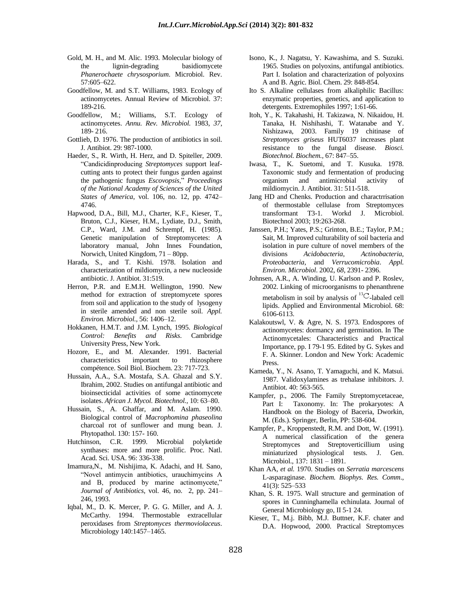- Gold, M. H., and M. Alic. 1993. Molecular biology of the lignin-degrading basidiomycete *Phanerochaete chrysosporium*. Microbiol. Rev. 57:605–622.
- Goodfellow, M. and S.T. Williams, 1983. Ecology of actinomycetes. Annual Review of Microbiol. 37: 189-216.
- Goodfellow, M.; Williams, S.T. Ecology of actinomycetes. *Annu. Rev. Microbiol.* 1983, *37*, 189- 216.
- Gottlieb, D. 1976. The production of antibiotics in soil. J. Antibiot. 29: 987-1000.
- Haeder, S., R. Wirth, H. Herz, and D. Spiteller, 2009. "Candicidinproducing *Streptomyces* support leafcutting ants to protect their fungus garden against the pathogenic fungus *Escovopsis*," *Proceedings of the National Academy of Sciences of the United States of America*, vol. 106, no. 12, pp. 4742– 4746.
- Hapwood, D.A., Bill, M.J., Charter, K.F., Kieser, T., Bruton, C.J., Kieser, H.M., Lydiate, D.J., Smith, C.P., Ward, J.M. and Schrempf, H. (1985). Genetic manipulation of Streptomycetes: A laboratory manual, John Innes Foundation, Norwich, United Kingdom, 71 – 80pp.
- Harada, S., and T. Kishi. 1978. Isolation and characterization of mildiomycin, a new nucleoside antibiotic. J. Antibiot. 31:519.
- Herron, P.R. and E.M.H. Wellington, 1990. New method for extraction of streptomycete spores from soil and application to the study of lysogeny in sterile amended and non sterile soil. *Appl. Environ. Microbiol.,* 56: 1406–12.
- Hokkanen, H.M.T. and J.M. Lynch, 1995. *Biological Control: Benefits and Risks*. Cambridge University Press, New York.
- Hozore, E., and M. Alexander. 1991. Bacterial characteristics important to rhizosphere compétence. Soil Biol. Biochem. 23: 717-723.
- Hussain, A.A., S.A. Mostafa, S.A. Ghazal and S.Y. Ibrahim, 2002. Studies on antifungal antibiotic and bioinsecticidal activities of some actinomycete isolates. *African J. Mycol. Biotechnol.,* 10: 63–80.
- Hussain, S., A. Ghaffar, and M. Aslam. 1990. Biological control of *Macrophomina phaseolina*  charcoal rot of sunflower and mung bean. J. Phytopathol. 130: 157- 160.
- Hutchinson, C.R. 1999. Microbial polyketide synthases: more and more prolific. Proc. Natl. Acad. Sci. USA. 96: 336-338.
- Imamura,N., M. Nishijima, K. Adachi, and H. Sano, "Novel antimycin antibiotics, urauchimycins A and B, produced by marine actinomycete," *Journal of Antibiotics*, vol. 46, no. 2, pp. 241– 246, 1993.
- Iqbal, M., D. K. Mercer, P. G. G. Miller, and A. J. McCarthy. 1994. Thermostable extracellular peroxidases from *Streptomyces thermoviolaceus*. Microbiology 140:1457–1465.
- Isono, K., J. Nagatsu, Y. Kawashima, and S. Suzuki. 1965. Studies on polyoxins, antifungal antibiotics. Part I. Isolation and characterization of polyoxins A and B. Agric. Biol. Chem. 29: 848-854.
- Ito S. Alkaline cellulases from alkaliphilic Bacillus: enzymatic properties, genetics, and application to detergents. Extremophiles 1997; 1:61-66.
- Itoh, Y., K. Takahashi, H. Takizawa, N. Nikaidou, H. Tanaka, H. Nishihashi, T. Watanabe and Y. Nishizawa, 2003. Family 19 chitinase of *Streptomyces griseus* HUT6037 increases plant resistance to the fungal disease. *Biosci. Biotechnol. Biochem.,* 67: 847–55.
- Iwasa, T., K. Suetomi, and T. Kusuka. 1978. Taxonomic study and fermentation of producing organism and antimicrobial activity of mildiomycin. J. Antibiot. 31: 511-518.
- Jang HD and Chenks. Production and charactrrisation of thermostable cellulase from Streptomyces transformant T3-1. Workd J. Microbiol. Biotechnol 2003; 19:263-268.
- Janssen, P.H.; Yates, P.S.; Grinton, B.E.; Taylor, P.M.; Sait, M. Improved culturability of soil bacteria and isolation in pure culture of novel members of the divisions *Acidobacteria*, *Actinobacteria*, *Proteobacteria*, and *Verrucomicrobia*. *Appl. Environ. Microbiol*. 2002, *68*, 2391- 2396.
- Johnsen, A.R., A. Winding, U. Karlson and P. Roslev, 2002. Linking of microorganisms to phenanthrene metabolism in soil by analysis of  ${}^{13}C$ -labaled cell lipids. Applied and Environmental Microbiol. 68: 6106-6113.
- Kalakoutswl, V. & Agre, N. S. 1973. Endospores of actinomycetes: dormancy and germination. In The Actinomycetales: Characteristics and Practical Importance, pp. I 79-1 95. Edited by G. Sykes and F. A. Skinner. London and New York: Academic Press.
- Kameda, Y., N. Asano, T. Yamaguchi, and K. Matsui. 1987. Validoxylamines as trehalase inhibitors. J. Antibiot. 40: 563-565.
- Kampfer, p., 2006. The Family Streptomycetaceae, Part I: Taxonomy. In: The prokaryotes: A Handbook on the Biology of Baceria, Dworkin, M. (Eds.). Springer, Berlin, PP: 538-604.
- Kampfer, P., Kroppenstedt, R.M. and Dott, W. (1991). A numerical classification of the genera Streptomyces and Streptoverticillium using miniaturized physiological tests. J. Gen. Microbiol., 137: 1831 – 1891.
- Khan AA, *et al.* 1970. Studies on *Serratia marcescens*  L-asparaginase. *Biochem. Biophys. Res. Comm*., 41(3): 525–533
- Khan, S. R. 1975. Wall structure and germination of spores in Cunninghamella echinulata. Journal of General Microbiology go, II 5-1 24.
- Kieser, T., M.j. Bibb, M.J. Buttner, K.F. chater and D.A. Hopwood, 2000. Practical Streptomyces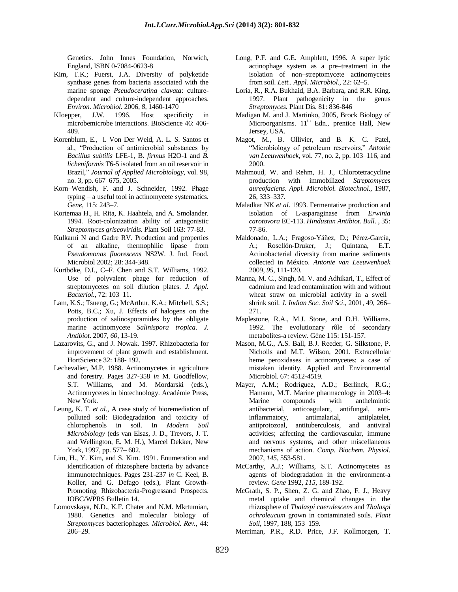Genetics. John Innes Foundation, Norwich, England, ISBN 0-7084-0623-8

- Kim, T.K.; Fuerst, J.A. Diversity of polyketide synthase genes from bacteria associated with the marine sponge *Pseudoceratina clavata*: culturedependent and culture-independent approaches. *Environ. Microbiol*. 2006, *8*, 1460-1470
- KIoepper, J.W. 1996. Host specificity in microbemicrobe interactions. BioScience 46: 406- 409.
- Korenblum, E., I. Von Der Weid, A. L. S. Santos et al., "Production of antimicrobial substances by *Bacillus subtilis* LFE-1, B. *firmus* H2O-1 and *B. licheniformis* T6-5 isolated from an oil reservoir in Brazil," *Journal of Applied Microbiology*, vol. 98, no. 3, pp. 667–675, 2005.
- Korn–Wendish, F. and J. Schneider, 1992. Phage typing – a useful tool in actinomycete systematics. *Gene,* 115: 243–7.
- Kortemaa H., H. Rita, K. Haahtela, and A. Smolander. 1994. Root-colonization ability of antagonistic *Streptomyces griseoviridis.* Plant Soil 163: 77-83.
- Kulkarni N and Gadre RV. Production and properties of an alkaline, thermophilic lipase from *Pseudomonas fluorescens* NS2W. J. Ind. Food. Microbiol 2002; 28: 344-348.
- Kurtböke, D.I., C–F. Chen and S.T. Williams, 1992. Use of polyvalent phage for reduction of streptomycetes on soil dilution plates. *J. Appl. Bacteriol.,* 72: 103–11.
- Lam, K.S.; Tsueng, G.; McArthur, K.A.; Mitchell, S.S.; Potts, B.C.; Xu, J. Effects of halogens on the production of salinosporamides by the obligate marine actinomycete *Salinispora tropica*. *J. Antibiot*. 2007, *60*, 13-19.
- Lazarovits, G., and J. Nowak. 1997. Rhizobacteria for improvement of plant growth and establishment. HortScience 32: 188- 192.
- Lechevalier, M.P. 1988. Actinomycetes in agriculture and forestry. Pages 327-358 *in* M. Goodfellow, S.T. Williams, and M. Mordarski (eds.), Actinomycetes in biotechnology. Académie Press, New York.
- Leung, K. T. *et al.*, A case study of bioremediation of polluted soil: Biodegradation and toxicity of chlorophenols in soil. In *Modern Soil Microbiology* (eds van Elsas, J. D., Trevors, J. T. and Wellington, E. M. H.), Marcel Dekker, New York, 1997, pp. 577– 602.
- Lim, H., Y. Kim, and S. Kim. 1991. Enumeration and identification of rhizosphere bacteria by advance immunotechniques. Pages 231-237 *in* C. Keel, B. Koller, and G. Defago (eds.), Plant Growth-Promoting Rhizobacteria-Progressand Prospects. IOBC/WPRS Bulletin 14.
- Lomovskaya, N.D., K.F. Chater and N.M. Mkrtumian, 1980. Genetics and molecular biology of *Streptomyces* bacteriophages. *Microbiol. Rev.,* 44: 206–29.
- Long, P.F. and G.E. Amphlett, 1996. A super lytic actinophage system as a pre–treatment in the isolation of non–streptomycete actinomycetes from soil. *Lett.. Appl. Microbiol.,* 22: 62–5.
- Loria, R., R.A. Bukhaid, B.A. Barbara, and R.R. King. 1997. Plant pathogenicity in the genus *Streptomyces.* Plant Dis. 81: 836-846
- Madigan M. and J. Martinko, 2005, Brock Biology of Microorganisms. 11<sup>th</sup> Edn., prentice Hall, New Jersey, USA.
- Magot, M., B. Ollivier, and B. K. C. Patel, "Microbiology of petroleum reservoirs," *Antonie van Leeuwenhoek*, vol. 77, no. 2, pp. 103–116, and 2000.
- Mahmoud, W. and Rehm, H. J., Chlorotetracycline production with immobilized *Streptomyces aureofaciens*. *Appl. Microbiol. Biotechnol*., 1987, 26, 333–337.
- Maladkar NK *et al*. 1993. Fermentative production and isolation of L-asparaginase from *Erwinia carotovora* EC-113. *Hindustan Antibiot. Bull*. , 35: 77-86.
- Maldonado, L.A.; Fragoso-Yáñez, D.; Pérez-García, A.; Rosellón-Druker, J.; Quintana, E.T. Actinobacterial diversity from marine sediments collected in México. *Antonie van Leeuwenhoek*  2009, *95*, 111-120.
- Manna, M. C., Singh, M. V. and Adhikari, T., Effect of cadmium and lead contamination with and without wheat straw on microbial activity in a swell– shrink soil. *J. Indian Soc. Soil Sci*., 2001, 49, 266– 271.
- Maplestone, R.A., M.J. Stone, and D.H. Williams. 1992. The evolutionary rôle of secondary metabolites-a review. Gène 115: 151-157.
- Mason, M.G., A.S. Ball, B.J. Reeder, G. Silkstone, P. Nicholls and M.T. Wilson, 2001. Extracellular heme peroxidases in actinomycetes: a case of mistaken identity. Applied and Environmental Microbiol. 67: 4512-4519.
- Mayer, A.M.; Rodríguez, A.D.; Berlinck, R.G.; Hamann, M.T. Marine pharmacology in 2003–4: Marine compounds with anthelmintic antibacterial, anticoagulant, antifungal, antiinflammatory, antimalarial, antiplatelet, antiprotozoal, antituberculosis, and antiviral activities; affecting the cardiovascular, immune and nervous systems, and other miscellaneous mechanisms of action. *Comp. Biochem. Physiol*. 2007, *145*, 553-581.
- McCarthy, A.J.; Williams, S.T. Actinomycetes as agents of biodegradation in the environment-a review. *Gene* 1992, *115*, 189-192.
- McGrath, S. P., Shen, Z. G. and Zhao, F. J., Heavy metal uptake and chemical changes in the rhizosphere of *Thalaspi caerulescens* and *Thalaspi ochroleucum* grown in contaminated soils. *Plant Soil*, 1997, 188, 153–159.
- Merriman, P.R., R.D. Price, J.F. Kollmorgen, T.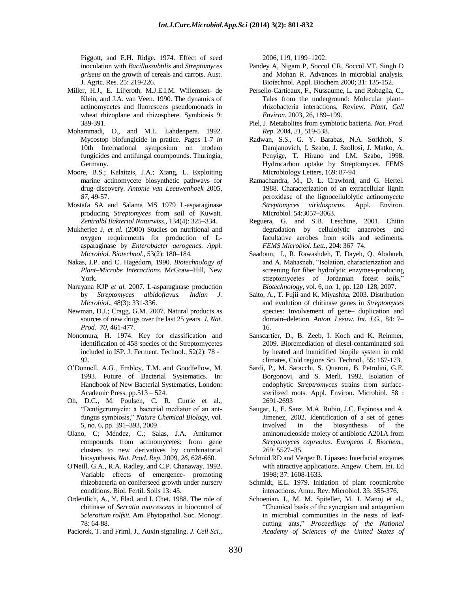Piggott, and E.H. Ridge. 1974. Effect of seed inoculation with *Bacillussubtilis* and *Streptomyces griseus* on the growth of cereals and carrots. Aust. J. Agric. Res. 25: 219-226.

- Miller, H.J., E. Liljeroth, M.J.E.I.M. Willemsen- de Klein, and J.A. van Veen. 1990. The dynamics of actinomycetes and fluorescens pseudomonads in wheat rhizoplane and rhizosphere. Symbiosis 9: 389-391.
- Mohammadi, O., and M.L. Lahdenpera. 1992. Mycostop biofungicide in pratice. Pages 1-7 *in*  10th International symposium on modem fungicides and antifungal coumpounds. Thuringia, Germany.
- Moore, B.S.; Kalaitzis, J.A.; Xiang, L. Exploiting marine actinomycete biosynthetic pathways for drug discovery. *Antonie van Leeuwenhoek* 2005, *87*, 49-57.
- Mostafa SA and Salama MS 1979 L-asparaginase producing *Streptomyces* from soil of Kuwait. *Zentralbl Bakteriol Naturwiss.*, 134(4): 325–334*.*
- Mukherjee J, et al. (2000) Studies on nutritional and oxygen requirements for production of Lasparaginase by *Enterobacter aerogenes*. *Appl. Microbiol. Biotechnol*., 53(2): 180–184.
- Nakas, J.P. and C. Hagedorn, 1990. *Biotechnology of Plant–Microbe Interactions*. McGraw–Hill, New York.
- Narayana KJP *et al.* 2007. L-asparaginase production by *Streptomyces albidoflavus. Indian J. Microbiol*., 48(3): 331-336.
- Newman, D.J.; Cragg, G.M. 2007. Natural products as sources of new drugs over the last 25 years. *J. Nat. Prod. 70*, 461-477.
- Nonomura, H. 1974. Key for classification and identification of 458 species of the Streptomycetes included in ISP. J. Ferment. Technol., 52(2): 78 ‐ 92.
- O"Donnell, A.G., Embley, T.M. and Goodfellow, M. 1993. Future of Bacterial Systematics. In: Handbook of New Bacterial Systematics, London: Academic Press, pp.513 – 524.
- Oh, D.C., M. Poulsen, C. R. Currie et al., "Dentigerumycin: a bacterial mediator of an antfungus symbiosis," *Nature Chemical Biology*, vol. 5, no. 6, pp. 391–393, 2009.
- Olano, C; Méndez, C.; Salas, J.A. Antitumor compounds from actinomycetes: from gene clusters to new derivatives by combinatorial biosynthesis. *Nat. Prod. Rep*. 2009, *26*, 628-660.
- O'Neill, G.A., R.A. Radley, and C.P. Chanaway. 1992. Variable effects of emergence- promoting rhizobacteria on coniferseed growth under nursery conditions. Biol. Fertil. Soils 13: 45.
- Ordentlich, A., Y. Elad, and I. Chet. 1988. The role of chitinase of *Serratia marcescens* in biocontrol of *Sclerotium rolfsii.* Am. Phytopathol. Soc. Monogr. 78: 64-88.

Paciorek, T. and Friml, J., Auxin signaling. *J. Cell Sci*.,

2006, 119, 1199–1202.

- Pandey A, Nigam P, Soccol CR, Soccol VT, Singh D and Mohan R. Advances in microbial analysis. Biotechnol. Appl. Biochem 2000; 31: 135-152.
- Persello-Cartieaux, F., Nussaume, L. and Robaglia, C., Tales from the underground: Molecular plant– rhizobacteria interactions. Review. *Plant, Cell Environ.* 2003, 26, 189–199.
- Piel, J. Metabolites from symbiotic bacteria. *Nat. Prod. Rep*. 2004, *21*, 519-538.
- Radwan, S.S., G. Y. Barabas, N.A. Sorkhoh, S. Damjanovich, I. Szabo, J. Szollosi, J. Matko, A. Penyige, T. Hirano and I.M. Szabo, 1998. Hydrocarbon uptake by Streptomyces. FEMS Microbiology Letters, 169: 87-94.
- Ramachandra, M., D. L. Crawford, and G. Hertel. 1988. Characterization of an extracellular lignin peroxidase of the lignocellulolytic actinomycete *Streptomyces viridosporus*. Appl. Environ. Microbiol. 54:3057–3063.
- Reguera, G. and S.B. Leschine, 2001. Chitin degradation by cellulolytic anaerobes and facultative aerobes from soils and sediments. *FEMS Microbiol. Lett.,* 204: 367–74.
- Saadoun, I., R. Rawashdeh, T. Dayeh, Q. Ababneh, and A. Mahasneh, "Isolation, characterization and screening for fiber hydrolytic enzymes-producing streptomycetes of Jordanian forest soils," *Biotechnology*, vol. 6, no. 1, pp. 120–128, 2007.
- Saito, A., T. Fujii and K. Miyashita, 2003. Distribution and evolution of chitinase genes in *Streptomyces*  species: Involvement of gene– duplication and domain–deletion. *Anton. Leeuw. Int. J.G.,* 84: 7– 16.
- Sanscartier, D., B. Zeeb, I. Koch and K. Reinmer, 2009. Bioremediation of diesel-contaminated soil by heated and humidified biopile system in cold climates, Cold regions Sci. Technol., 55: 167-173.
- Sardi, P., M. Saracchi, S. Quaroni, B. Petrolini, G.E. Borgonovi, and S. Merli. 1992. Isolation of endophytic *Streptromyces* strains from surfacesterilized roots. Appl. Environ. Microbiol. 58 : 2691-2693
- Saugar, I., E. Sanz, M.A. Rubio, J.C. Espinosa and A. Jimenez, 2002. Identification of a set of genes involved in the biosynthesis of the aminonucleoside moiety of antibiotic A201A from *Streptomyces capreolus. European J. Biochem.,*  269: 5527–35.
- Schmid RD and Verger R. Lipases: Interfacial enzymes with attractive applications. Angew. Chem. Int. Ed 1998; 37: 1608-1633.
- Schmidt, E.L. 1979. Initiation of plant rootmicrobe interactions. Annu. Rev. Microbiol. 33: 355-376.
- Schoenian, I., M. M. Spiteller, M. J. Manoj et al., "Chemical basis of the synergism and antagonism in microbial communities in the nests of leafcutting ants," *Proceedings of the National Academy of Sciences of the United States of*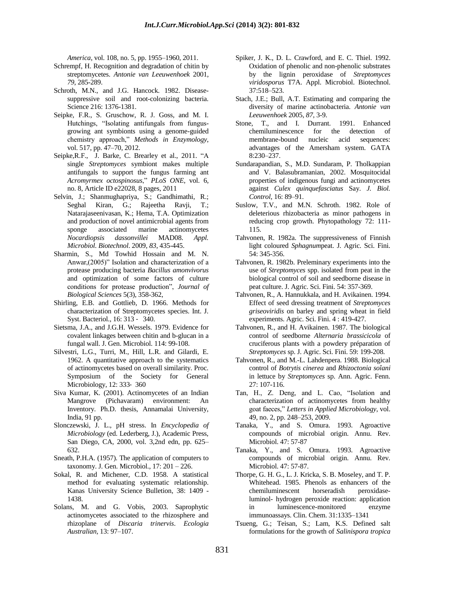*America*, vol. 108, no. 5, pp. 1955–1960, 2011.

- Schrempf, H. Recognition and degradation of chitin by streptomycetes. *Antonie van Leeuwenhoek* 2001, *79*, 285-289.
- Schroth, M.N., and J.G. Hancock. 1982. Diseasesuppressive soil and root-colonizing bacteria. Science 216: 1376-1381.
- Seipke, F.R., S. Gruschow, R. J. Goss, and M. I. Hutchings, "Isolating antifungals from fungusgrowing ant symbionts using a genome-guided chemistry approach," *Methods in Enzymology*, vol. 517, pp. 47–70, 2012.
- Seipke,R.F., J. Barke, C. Brearley et al., 2011. "A single *Streptomyces* symbiont makes multiple antifungals to support the fungus farming ant *Acromyrmex octospinosus*," *PLoS ONE*, vol. 6, no. 8, Article ID e22028, 8 pages, 2011
- Selvin, J.; Shanmughapriya, S.; Gandhimathi, R.; Seghal Kiran, G.; Rajeetha Ravji, T.; Natarajaseenivasan, K.; Hema, T.A. Optimization and production of novel antimicrobial agents from sponge associated marine actinomycetes *Nocardiopsis dassonvillei* MAD08. *Appl. Microbiol. Biotechnol*. 2009, *83*, 435-445.
- Sharmin, S., Md Towhid Hossain and M. N. Anwar,(2005)" Isolation and characterization of a protease producing bacteria *Bacillus amonvivorus*  and optimization of some factors of culture conditions for protease production", *Journal of Biological Sciences* 5(3), 358-362,
- Shirling, E.B. and Gottlieb, D. 1966. Methods for characterization of Streptomycetes species. Int. J. Syst. Bacteriol., 16: 313 ‐ 340.
- Sietsma, J.A., and J.G.H. Wessels. 1979. Evidence for covalent linkages between chitin and b-glucan in a fungal wall. J. Gen. Microbiol. 114: 99-108.
- Silvestri, L.G., Turri, M., Hill, L.R. and Gilardi, E. 1962. A quantitative approach to the systematics of actinomycetes based on overall similarity. Proc. Symposium of the Society for General Microbiology, 12: 333‐ 360
- Siva Kumar, K. (2001). Actinomycetes of an Indian Mangrove (Pichavaram) environment: An Inventory. Ph.D. thesis, Annamalai University, India, 91 pp.
- Slonczewski, J. L., pH stress. In *Encyclopedia of Microbiology* (ed. Lederberg, J.), Academic Press, San Diego, CA, 2000, vol. 3,2nd edn, pp. 625– 632.
- Sneath, P.H.A. (1957). The application of computers to taxonomy. J. Gen. Microbiol., 17: 201 – 226.
- Sokal, R. and Michener, C.D. 1958. A statistical method for evaluating systematic relationship. Kanas University Science Bulletion, 38: 1409 - 1438.
- Solans, M. and G. Vobis, 2003. Saprophytic actinomycetes associated to the rhizosphere and rhizoplane of *Discaria trinervis*. *Ecologia Australian,* 13: 97–107.
- Spiker, J. K., D. L. Crawford, and E. C. Thiel. 1992. Oxidation of phenolic and non-phenolic substrates by the lignin peroxidase of *Streptomyces viridosporus* T7A. Appl. Microbiol. Biotechnol. 37:518–523.
- Stach, J.E.; Bull, A.T. Estimating and comparing the diversity of marine actinobacteria. *Antonie van Leeuwenhoek* 2005, *87*, 3-9.
- Stone, T., and I. Durrant. 1991. Enhanced chemiluminescence for the detection of membrane-bound nucleic acid sequences: advantages of the Amersham system. GATA 8:230–237.
- Sundarapandian, S., M.D. Sundaram, P. Tholkappian and V. Balasubramanian, 2002. Mosquitocidal properties of indigenous fungi and actinomycetes against *Culex quinquefasciatus* Say. *J. Biol. Control*, 16: 89–91.
- Suslow, T.V., and M.N. Schroth. 1982. Role of deleterious rhizobacteria as minor pathogens in reducing crop growth. Phytopathology 72: 111- 115.
- Tahvonen, R. 1982a. The suppressiveness of Finnish light coloured *Sphagnum*peat. J. Agric. Sci. Fini. 54: 345-356.
- Tahvonen, R. 1982b. Preleminary experiments into the use of *Streptomyces* spp. isolated from peat in the biological control of soil and seedborne disease in peat culture. J. Agric. Sci. Fini. 54: 357-369.
- Tahvonen, R., A. Hannukkala, and H. Avikainen. 1994. Effect of seed dressing treatment of *Streptomyces griseoviridis* on barley and spring wheat in field experiments. Agric. Sci. Fini. 4 : 419-427.
- Tahvonen, R., and H. Avikainen. 1987. The biological control of seedborne *Alternaria brassicicola* of cruciferous plants with a powdery préparation of *Streptomyces* sp. J. Agric. Sci. Fini. 59: 199-208.
- Tahvonen, R., and M.-L. Lahdenpera. 1988. Biological control of *Botrytis cinerea* and *Rhizoctonia soîani*  in lettuce by *Streptomyces* sp. Ann. Agric. Fenn. 27: 107-116.
- Tan, H., Z. Deng, and L. Cao, "Isolation and characterization of actinomycetes from healthy goat faeces," *Letters in Applied Microbiology*, vol. 49, no. 2, pp. 248–253, 2009.
- Tanaka, Y., and S. Omura. 1993. Agroactive compounds of microbial origin. Annu. Rev. Microbiol. 47: 57-87
- Tanaka, Y., and S. Omura. 1993. Agroactive compounds of microbial origin. Annu. Rev. Microbiol. 47: 57-87.
- Thorpe, G. H. G., L. J. Kricka, S. B. Moseley, and T. P. Whitehead. 1985. Phenols as enhancers of the chemiluminescent horseradish peroxidaseluminol- hydrogen peroxide reaction: application in luminescence-monitored enzyme immunoassays. Clin. Chem. 31:1335–1341
- Tsueng, G.; Teisan, S.; Lam, K.S. Defined salt formulations for the growth of *Salinispora tropica*